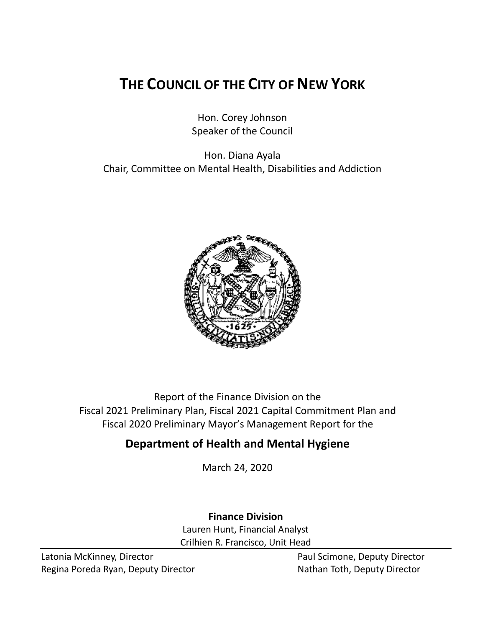# **THE COUNCIL OF THE CITY OF NEW YORK**

Hon. Corey Johnson Speaker of the Council

Hon. Diana Ayala Chair, Committee on Mental Health, Disabilities and Addiction



Report of the Finance Division on the Fiscal 2021 Preliminary Plan, Fiscal 2021 Capital Commitment Plan and Fiscal 2020 Preliminary Mayor's Management Report for the

# **Department of Health and Mental Hygiene**

March 24, 2020

**Finance Division** Lauren Hunt, Financial Analyst Crilhien R. Francisco, Unit Head

Latonia McKinney, Director **Paul Scimone, Deputy Director** Paul Scimone, Deputy Director Regina Poreda Ryan, Deputy Director Nathan Toth, Deputy Director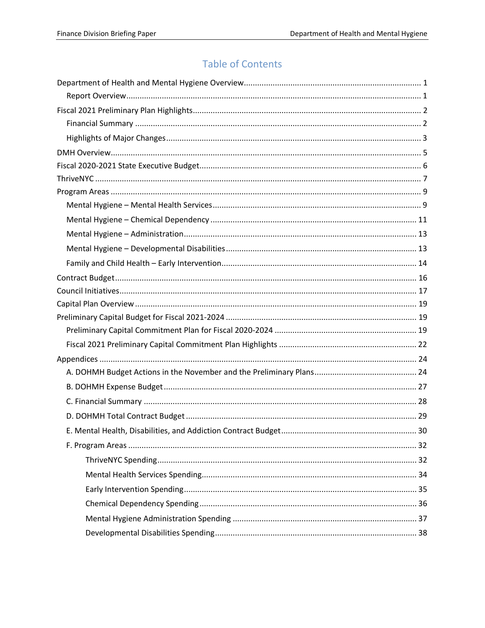# **Table of Contents**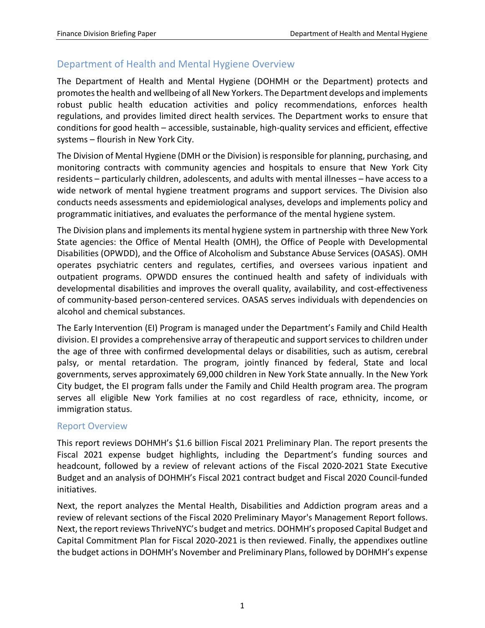# <span id="page-2-0"></span>Department of Health and Mental Hygiene Overview

The Department of Health and Mental Hygiene (DOHMH or the Department) protects and promotes the health and wellbeing of all New Yorkers. The Department develops and implements robust public health education activities and policy recommendations, enforces health regulations, and provides limited direct health services. The Department works to ensure that conditions for good health – accessible, sustainable, high-quality services and efficient, effective systems – flourish in New York City.

The Division of Mental Hygiene (DMH or the Division) is responsible for planning, purchasing, and monitoring contracts with community agencies and hospitals to ensure that New York City residents – particularly children, adolescents, and adults with mental illnesses – have access to a wide network of mental hygiene treatment programs and support services. The Division also conducts needs assessments and epidemiological analyses, develops and implements policy and programmatic initiatives, and evaluates the performance of the mental hygiene system.

The Division plans and implements its mental hygiene system in partnership with three New York State agencies: the Office of Mental Health (OMH), the Office of People with Developmental Disabilities (OPWDD), and the Office of Alcoholism and Substance Abuse Services (OASAS). OMH operates psychiatric centers and regulates, certifies, and oversees various inpatient and outpatient programs. OPWDD ensures the continued health and safety of individuals with developmental disabilities and improves the overall quality, availability, and cost-effectiveness of community-based person-centered services. OASAS serves individuals with dependencies on alcohol and chemical substances.

The Early Intervention (EI) Program is managed under the Department's Family and Child Health division. EI provides a comprehensive array of therapeutic and support services to children under the age of three with confirmed developmental delays or disabilities, such as autism, cerebral palsy, or mental retardation. The program, jointly financed by federal, State and local governments, serves approximately 69,000 children in New York State annually. In the New York City budget, the EI program falls under the Family and Child Health program area. The program serves all eligible New York families at no cost regardless of race, ethnicity, income, or immigration status.

#### <span id="page-2-1"></span>Report Overview

This report reviews DOHMH's \$1.6 billion Fiscal 2021 Preliminary Plan. The report presents the Fiscal 2021 expense budget highlights, including the Department's funding sources and headcount, followed by a review of relevant actions of the Fiscal 2020-2021 State Executive Budget and an analysis of DOHMH's Fiscal 2021 contract budget and Fiscal 2020 Council-funded initiatives.

Next, the report analyzes the Mental Health, Disabilities and Addiction program areas and a review of relevant sections of the Fiscal 2020 Preliminary Mayor's Management Report follows. Next, the report reviews ThriveNYC's budget and metrics. DOHMH's proposed Capital Budget and Capital Commitment Plan for Fiscal 2020-2021 is then reviewed. Finally, the appendixes outline the budget actions in DOHMH's November and Preliminary Plans, followed by DOHMH's expense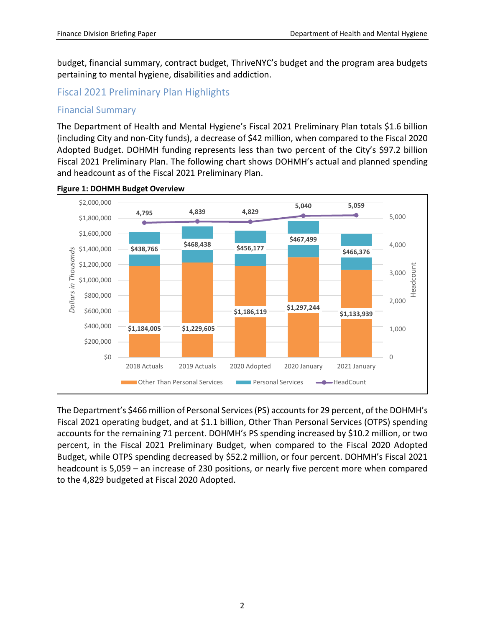budget, financial summary, contract budget, ThriveNYC's budget and the program area budgets pertaining to mental hygiene, disabilities and addiction.

# <span id="page-3-0"></span>Fiscal 2021 Preliminary Plan Highlights

#### <span id="page-3-1"></span>Financial Summary

The Department of Health and Mental Hygiene's Fiscal 2021 Preliminary Plan totals \$1.6 billion (including City and non-City funds), a decrease of \$42 million, when compared to the Fiscal 2020 Adopted Budget. DOHMH funding represents less than two percent of the City's \$97.2 billion Fiscal 2021 Preliminary Plan. The following chart shows DOHMH's actual and planned spending and headcount as of the Fiscal 2021 Preliminary Plan.



#### **Figure 1: DOHMH Budget Overview**

The Department's \$466 million of Personal Services (PS) accounts for 29 percent, of the DOHMH's Fiscal 2021 operating budget, and at \$1.1 billion, Other Than Personal Services (OTPS) spending accounts for the remaining 71 percent. DOHMH's PS spending increased by \$10.2 million, or two percent, in the Fiscal 2021 Preliminary Budget, when compared to the Fiscal 2020 Adopted Budget, while OTPS spending decreased by \$52.2 million, or four percent. DOHMH's Fiscal 2021 headcount is 5,059 – an increase of 230 positions, or nearly five percent more when compared to the 4,829 budgeted at Fiscal 2020 Adopted.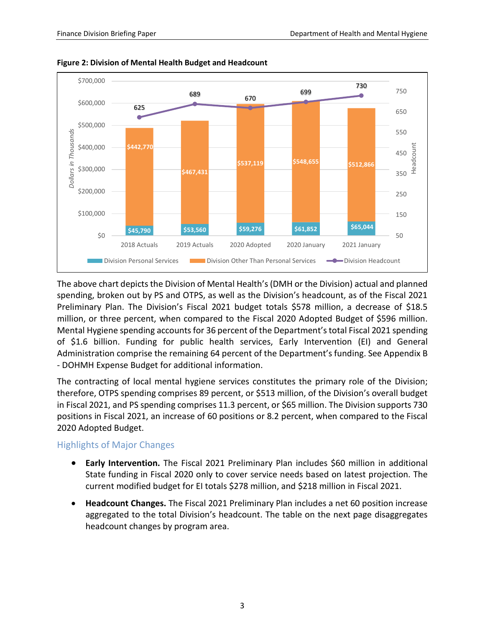

**Figure 2: Division of Mental Health Budget and Headcount**

The above chart depicts the Division of Mental Health's (DMH or the Division) actual and planned spending, broken out by PS and OTPS, as well as the Division's headcount, as of the Fiscal 2021 Preliminary Plan. The Division's Fiscal 2021 budget totals \$578 million, a decrease of \$18.5 million, or three percent, when compared to the Fiscal 2020 Adopted Budget of \$596 million. Mental Hygiene spending accounts for 36 percent of the Department's total Fiscal 2021 spending of \$1.6 billion. Funding for public health services, Early Intervention (EI) and General Administration comprise the remaining 64 percent of the Department's funding. See Appendix B - DOHMH Expense Budget for additional information.

The contracting of local mental hygiene services constitutes the primary role of the Division; therefore, OTPS spending comprises 89 percent, or \$513 million, of the Division's overall budget in Fiscal 2021, and PS spending comprises 11.3 percent, or \$65 million. The Division supports 730 positions in Fiscal 2021, an increase of 60 positions or 8.2 percent, when compared to the Fiscal 2020 Adopted Budget.

#### <span id="page-4-0"></span>Highlights of Major Changes

- **Early Intervention.** The Fiscal 2021 Preliminary Plan includes \$60 million in additional State funding in Fiscal 2020 only to cover service needs based on latest projection. The current modified budget for EI totals \$278 million, and \$218 million in Fiscal 2021.
- **Headcount Changes.** The Fiscal 2021 Preliminary Plan includes a net 60 position increase aggregated to the total Division's headcount. The table on the next page disaggregates headcount changes by program area.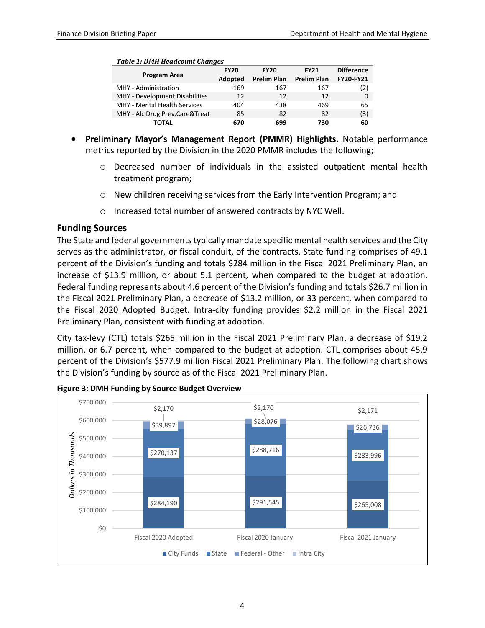#### *Table 1: DMH Headcount Changes*

| Program Area                     | <b>FY20</b> | <b>FY20</b>        | <b>FY21</b>        | <b>Difference</b> |
|----------------------------------|-------------|--------------------|--------------------|-------------------|
|                                  | Adopted     | <b>Prelim Plan</b> | <b>Prelim Plan</b> | <b>FY20-FY21</b>  |
| MHY - Administration             | 169         | 167                | 167                | (2)               |
| MHY - Development Disabilities   | 12          | 12                 | 12                 | 0                 |
| MHY - Mental Health Services     | 404         | 438                | 469                | 65                |
| MHY - Alc Drug Prev, Care& Treat | 85          | 82                 | 82                 | (3)               |
| ΤΟΤΑL                            | 670         | 699                | 730                | 60                |

- **Preliminary Mayor's Management Report (PMMR) Highlights.** Notable performance metrics reported by the Division in the 2020 PMMR includes the following;
	- o Decreased number of individuals in the assisted outpatient mental health treatment program;
	- o New children receiving services from the Early Intervention Program; and
	- o Increased total number of answered contracts by NYC Well.

#### **Funding Sources**

The State and federal governments typically mandate specific mental health services and the City serves as the administrator, or fiscal conduit, of the contracts. State funding comprises of 49.1 percent of the Division's funding and totals \$284 million in the Fiscal 2021 Preliminary Plan, an increase of \$13.9 million, or about 5.1 percent, when compared to the budget at adoption. Federal funding represents about 4.6 percent of the Division's funding and totals \$26.7 million in the Fiscal 2021 Preliminary Plan, a decrease of \$13.2 million, or 33 percent, when compared to the Fiscal 2020 Adopted Budget. Intra-city funding provides \$2.2 million in the Fiscal 2021 Preliminary Plan, consistent with funding at adoption.

City tax-levy (CTL) totals \$265 million in the Fiscal 2021 Preliminary Plan, a decrease of \$19.2 million, or 6.7 percent, when compared to the budget at adoption. CTL comprises about 45.9 percent of the Division's \$577.9 million Fiscal 2021 Preliminary Plan. The following chart shows the Division's funding by source as of the Fiscal 2021 Preliminary Plan.



**Figure 3: DMH Funding by Source Budget Overview**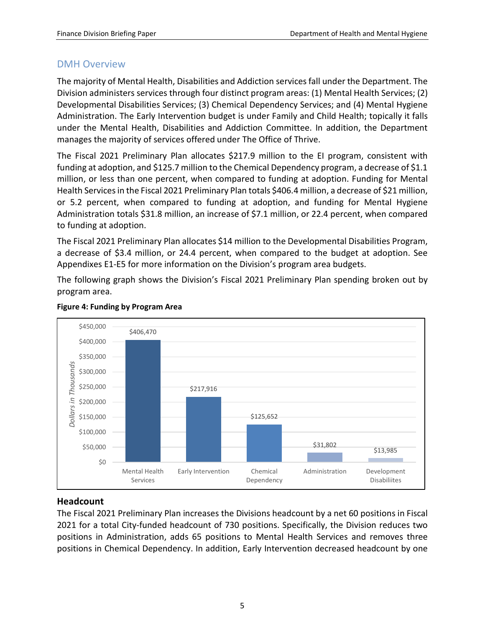# <span id="page-6-0"></span>DMH Overview

The majority of Mental Health, Disabilities and Addiction services fall under the Department. The Division administers services through four distinct program areas: (1) Mental Health Services; (2) Developmental Disabilities Services; (3) Chemical Dependency Services; and (4) Mental Hygiene Administration. The Early Intervention budget is under Family and Child Health; topically it falls under the Mental Health, Disabilities and Addiction Committee. In addition, the Department manages the majority of services offered under The Office of Thrive.

The Fiscal 2021 Preliminary Plan allocates \$217.9 million to the EI program, consistent with funding at adoption, and \$125.7 million to the Chemical Dependency program, a decrease of \$1.1 million, or less than one percent, when compared to funding at adoption. Funding for Mental Health Services in the Fiscal 2021 Preliminary Plan totals \$406.4 million, a decrease of \$21 million, or 5.2 percent, when compared to funding at adoption, and funding for Mental Hygiene Administration totals \$31.8 million, an increase of \$7.1 million, or 22.4 percent, when compared to funding at adoption.

The Fiscal 2021 Preliminary Plan allocates \$14 million to the Developmental Disabilities Program, a decrease of \$3.4 million, or 24.4 percent, when compared to the budget at adoption. See Appendixes E1-E5 for more information on the Division's program area budgets.

The following graph shows the Division's Fiscal 2021 Preliminary Plan spending broken out by program area.



#### **Figure 4: Funding by Program Area**

#### **Headcount**

The Fiscal 2021 Preliminary Plan increases the Divisions headcount by a net 60 positions in Fiscal 2021 for a total City-funded headcount of 730 positions. Specifically, the Division reduces two positions in Administration, adds 65 positions to Mental Health Services and removes three positions in Chemical Dependency. In addition, Early Intervention decreased headcount by one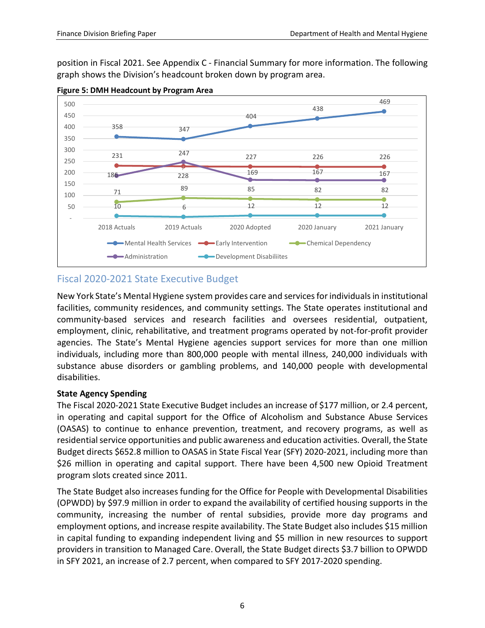position in Fiscal 2021. See Appendix C - Financial Summary for more information. The following graph shows the Division's headcount broken down by program area.



**Figure 5: DMH Headcount by Program Area**

# <span id="page-7-0"></span>Fiscal 2020-2021 State Executive Budget

New York State's Mental Hygiene system provides care and services for individuals in institutional facilities, community residences, and community settings. The State operates institutional and community-based services and research facilities and oversees residential, outpatient, employment, clinic, rehabilitative, and treatment programs operated by not-for-profit provider agencies. The State's Mental Hygiene agencies support services for more than one million individuals, including more than 800,000 people with mental illness, 240,000 individuals with substance abuse disorders or gambling problems, and 140,000 people with developmental disabilities.

#### **State Agency Spending**

The Fiscal 2020-2021 State Executive Budget includes an increase of \$177 million, or 2.4 percent, in operating and capital support for the Office of Alcoholism and Substance Abuse Services (OASAS) to continue to enhance prevention, treatment, and recovery programs, as well as residential service opportunities and public awareness and education activities. Overall, the State Budget directs \$652.8 million to OASAS in State Fiscal Year (SFY) 2020-2021, including more than \$26 million in operating and capital support. There have been 4,500 new Opioid Treatment program slots created since 2011.

The State Budget also increases funding for the Office for People with Developmental Disabilities (OPWDD) by \$97.9 million in order to expand the availability of certified housing supports in the community, increasing the number of rental subsidies, provide more day programs and employment options, and increase respite availability. The State Budget also includes \$15 million in capital funding to expanding independent living and \$5 million in new resources to support providers in transition to Managed Care. Overall, the State Budget directs \$3.7 billion to OPWDD in SFY 2021, an increase of 2.7 percent, when compared to SFY 2017-2020 spending.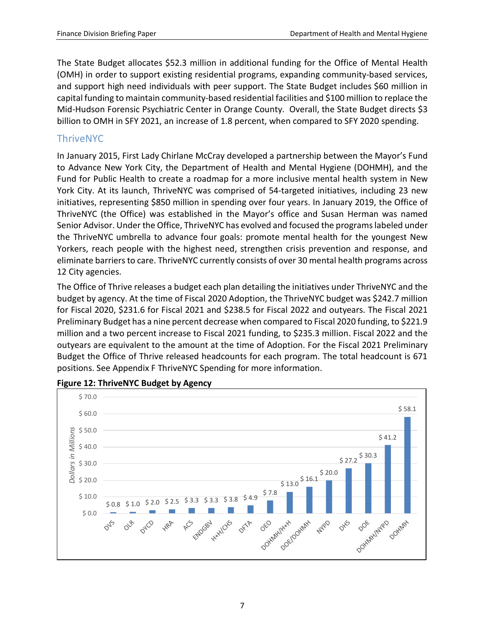The State Budget allocates \$52.3 million in additional funding for the Office of Mental Health (OMH) in order to support existing residential programs, expanding community-based services, and support high need individuals with peer support. The State Budget includes \$60 million in capital funding to maintain community-based residential facilities and \$100 million to replace the Mid-Hudson Forensic Psychiatric Center in Orange County. Overall, the State Budget directs \$3 billion to OMH in SFY 2021, an increase of 1.8 percent, when compared to SFY 2020 spending.

# <span id="page-8-0"></span>ThriveNYC

In January 2015, First Lady Chirlane McCray developed a partnership between the Mayor's Fund to Advance New York City, the Department of Health and Mental Hygiene (DOHMH), and the Fund for Public Health to create a roadmap for a more inclusive mental health system in New York City. At its launch, ThriveNYC was comprised of 54-targeted initiatives, including 23 new initiatives, representing \$850 million in spending over four years. In January 2019, the Office of ThriveNYC (the Office) was established in the Mayor's office and Susan Herman was named Senior Advisor. Under the Office, ThriveNYC has evolved and focused the programs labeled under the ThriveNYC umbrella to advance four goals: promote mental health for the youngest New Yorkers, reach people with the highest need, strengthen crisis prevention and response, and eliminate barriers to care. ThriveNYC currently consists of over 30 mental health programs across 12 City agencies.

The Office of Thrive releases a budget each plan detailing the initiatives under ThriveNYC and the budget by agency. At the time of Fiscal 2020 Adoption, the ThriveNYC budget was \$242.7 million for Fiscal 2020, \$231.6 for Fiscal 2021 and \$238.5 for Fiscal 2022 and outyears. The Fiscal 2021 Preliminary Budget has a nine percent decrease when compared to Fiscal 2020 funding, to \$221.9 million and a two percent increase to Fiscal 2021 funding, to \$235.3 million. Fiscal 2022 and the outyears are equivalent to the amount at the time of Adoption. For the Fiscal 2021 Preliminary Budget the Office of Thrive released headcounts for each program. The total headcount is 671 positions. See Appendix F ThriveNYC Spending for more information.



#### **Figure 12: ThriveNYC Budget by Agency**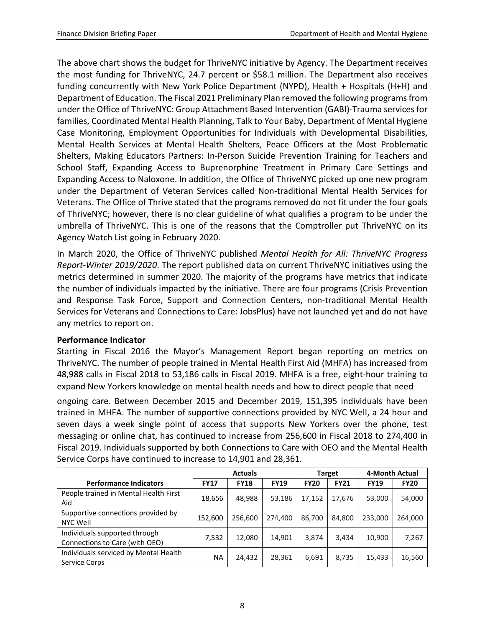The above chart shows the budget for ThriveNYC initiative by Agency. The Department receives the most funding for ThriveNYC, 24.7 percent or \$58.1 million. The Department also receives funding concurrently with New York Police Department (NYPD), Health + Hospitals (H+H) and Department of Education. The Fiscal 2021 Preliminary Plan removed the following programs from under the Office of ThriveNYC: Group Attachment Based Intervention (GABI)-Trauma services for families, Coordinated Mental Health Planning, Talk to Your Baby, Department of Mental Hygiene Case Monitoring, Employment Opportunities for Individuals with Developmental Disabilities, Mental Health Services at Mental Health Shelters, Peace Officers at the Most Problematic Shelters, Making Educators Partners: In-Person Suicide Prevention Training for Teachers and School Staff, Expanding Access to Buprenorphine Treatment in Primary Care Settings and Expanding Access to Naloxone. In addition, the Office of ThriveNYC picked up one new program under the Department of Veteran Services called Non-traditional Mental Health Services for Veterans. The Office of Thrive stated that the programs removed do not fit under the four goals of ThriveNYC; however, there is no clear guideline of what qualifies a program to be under the umbrella of ThriveNYC. This is one of the reasons that the Comptroller put ThriveNYC on its Agency Watch List going in February 2020.

In March 2020, the Office of ThriveNYC published *Mental Health for All: ThriveNYC Progress Report-Winter 2019/2020*. The report published data on current ThriveNYC initiatives using the metrics determined in summer 2020. The majority of the programs have metrics that indicate the number of individuals impacted by the initiative. There are four programs (Crisis Prevention and Response Task Force, Support and Connection Centers, non-traditional Mental Health Services for Veterans and Connections to Care: JobsPlus) have not launched yet and do not have any metrics to report on.

#### **Performance Indicator**

Starting in Fiscal 2016 the Mayor's Management Report began reporting on metrics on ThriveNYC. The number of people trained in Mental Health First Aid (MHFA) has increased from 48,988 calls in Fiscal 2018 to 53,186 calls in Fiscal 2019. MHFA is a free, eight-hour training to expand New Yorkers knowledge on mental health needs and how to direct people that need

ongoing care. Between December 2015 and December 2019, 151,395 individuals have been trained in MHFA. The number of supportive connections provided by NYC Well, a 24 hour and seven days a week single point of access that supports New Yorkers over the phone, test messaging or online chat, has continued to increase from 256,600 in Fiscal 2018 to 274,400 in Fiscal 2019. Individuals supported by both Connections to Care with OEO and the Mental Health Service Corps have continued to increase to 14,901 and 28,361.

|                                                                 | <b>Actuals</b> |             |             |             | <b>Target</b> | 4-Month Actual |             |
|-----------------------------------------------------------------|----------------|-------------|-------------|-------------|---------------|----------------|-------------|
| <b>Performance Indicators</b>                                   | <b>FY17</b>    | <b>FY18</b> | <b>FY19</b> | <b>FY20</b> | <b>FY21</b>   | <b>FY19</b>    | <b>FY20</b> |
| People trained in Mental Health First<br>Aid                    | 18,656         | 48,988      | 53,186      | 17,152      | 17,676        | 53,000         | 54,000      |
| Supportive connections provided by<br>NYC Well                  | 152,600        | 256,600     | 274,400     | 86,700      | 84,800        | 233,000        | 264,000     |
| Individuals supported through<br>Connections to Care (with OEO) | 7,532          | 12,080      | 14,901      | 3,874       | 3,434         | 10,900         | 7,267       |
| Individuals serviced by Mental Health<br>Service Corps          | <b>NA</b>      | 24,432      | 28,361      | 6,691       | 8,735         | 15,433         | 16,560      |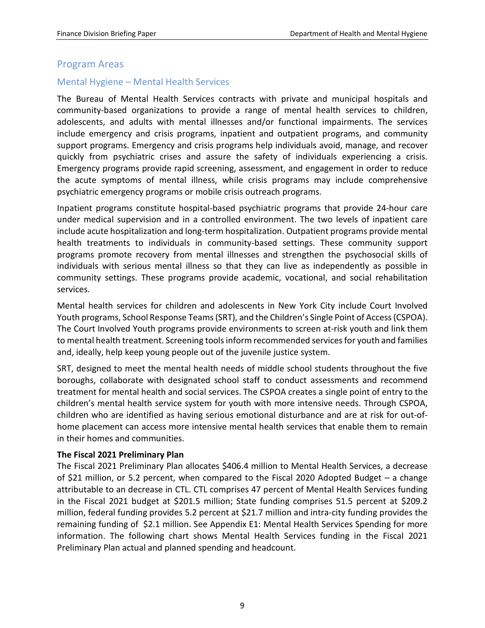## <span id="page-10-0"></span>Program Areas

### <span id="page-10-1"></span>Mental Hygiene – Mental Health Services

The Bureau of Mental Health Services contracts with private and municipal hospitals and community-based organizations to provide a range of mental health services to children, adolescents, and adults with mental illnesses and/or functional impairments. The services include emergency and crisis programs, inpatient and outpatient programs, and community support programs. Emergency and crisis programs help individuals avoid, manage, and recover quickly from psychiatric crises and assure the safety of individuals experiencing a crisis. Emergency programs provide rapid screening, assessment, and engagement in order to reduce the acute symptoms of mental illness, while crisis programs may include comprehensive psychiatric emergency programs or mobile crisis outreach programs.

Inpatient programs constitute hospital-based psychiatric programs that provide 24-hour care under medical supervision and in a controlled environment. The two levels of inpatient care include acute hospitalization and long-term hospitalization. Outpatient programs provide mental health treatments to individuals in community-based settings. These community support programs promote recovery from mental illnesses and strengthen the psychosocial skills of individuals with serious mental illness so that they can live as independently as possible in community settings. These programs provide academic, vocational, and social rehabilitation services.

Mental health services for children and adolescents in New York City include Court Involved Youth programs, School Response Teams (SRT), and the Children's Single Point of Access (CSPOA). The Court Involved Youth programs provide environments to screen at-risk youth and link them to mental health treatment. Screening tools inform recommended services for youth and families and, ideally, help keep young people out of the juvenile justice system.

SRT, designed to meet the mental health needs of middle school students throughout the five boroughs, collaborate with designated school staff to conduct assessments and recommend treatment for mental health and social services. The CSPOA creates a single point of entry to the children's mental health service system for youth with more intensive needs. Through CSPOA, children who are identified as having serious emotional disturbance and are at risk for out-ofhome placement can access more intensive mental health services that enable them to remain in their homes and communities.

#### **The Fiscal 2021 Preliminary Plan**

The Fiscal 2021 Preliminary Plan allocates \$406.4 million to Mental Health Services, a decrease of \$21 million, or 5.2 percent, when compared to the Fiscal 2020 Adopted Budget – a change attributable to an decrease in CTL. CTL comprises 47 percent of Mental Health Services funding in the Fiscal 2021 budget at \$201.5 million; State funding comprises 51.5 percent at \$209.2 million, federal funding provides 5.2 percent at \$21.7 million and intra-city funding provides the remaining funding of \$2.1 million. See Appendix E1: Mental Health Services Spending for more information. The following chart shows Mental Health Services funding in the Fiscal 2021 Preliminary Plan actual and planned spending and headcount.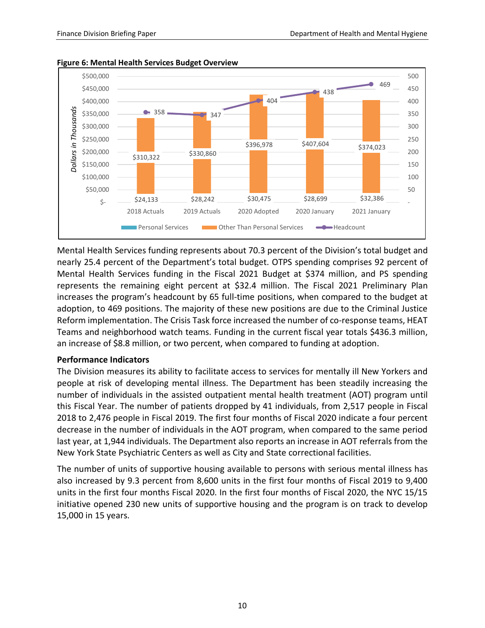

**Figure 6: Mental Health Services Budget Overview**

Mental Health Services funding represents about 70.3 percent of the Division's total budget and nearly 25.4 percent of the Department's total budget. OTPS spending comprises 92 percent of Mental Health Services funding in the Fiscal 2021 Budget at \$374 million, and PS spending represents the remaining eight percent at \$32.4 million. The Fiscal 2021 Preliminary Plan increases the program's headcount by 65 full-time positions, when compared to the budget at adoption, to 469 positions. The majority of these new positions are due to the Criminal Justice Reform implementation. The Crisis Task force increased the number of co-response teams, HEAT Teams and neighborhood watch teams. Funding in the current fiscal year totals \$436.3 million, an increase of \$8.8 million, or two percent, when compared to funding at adoption.

#### **Performance Indicators**

The Division measures its ability to facilitate access to services for mentally ill New Yorkers and people at risk of developing mental illness. The Department has been steadily increasing the number of individuals in the assisted outpatient mental health treatment (AOT) program until this Fiscal Year. The number of patients dropped by 41 individuals, from 2,517 people in Fiscal 2018 to 2,476 people in Fiscal 2019. The first four months of Fiscal 2020 indicate a four percent decrease in the number of individuals in the AOT program, when compared to the same period last year, at 1,944 individuals. The Department also reports an increase in AOT referrals from the New York State Psychiatric Centers as well as City and State correctional facilities.

The number of units of supportive housing available to persons with serious mental illness has also increased by 9.3 percent from 8,600 units in the first four months of Fiscal 2019 to 9,400 units in the first four months Fiscal 2020. In the first four months of Fiscal 2020, the NYC 15/15 initiative opened 230 new units of supportive housing and the program is on track to develop 15,000 in 15 years.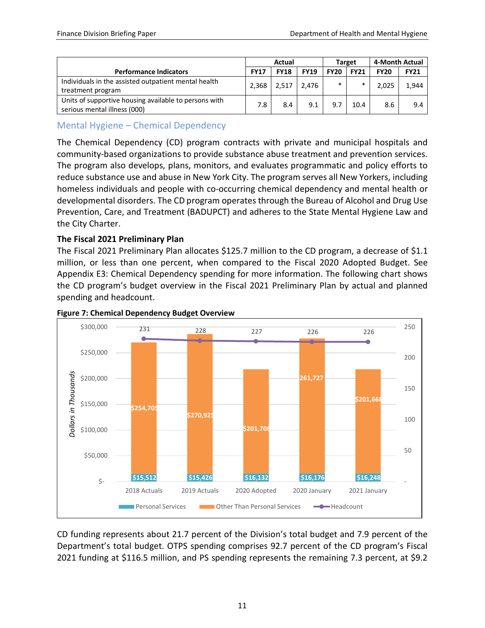|                                                                                       | Actual      |             |             |             | Target      | 4-Month Actual |             |
|---------------------------------------------------------------------------------------|-------------|-------------|-------------|-------------|-------------|----------------|-------------|
| <b>Performance Indicators</b>                                                         | <b>FY17</b> | <b>FY18</b> | <b>FY19</b> | <b>FY20</b> | <b>FY21</b> | <b>FY20</b>    | <b>FY21</b> |
| Individuals in the assisted outpatient mental health<br>treatment program             | 2.368       | 2,517       | 2.476       | $\ast$      | ∗           | 2,025          | 1,944       |
| Units of supportive housing available to persons with<br>serious mental illness (000) | 7.8         | 8.4         | 9.1         | 9.7         | 10.4        | 8.6            | 9.4         |

#### <span id="page-12-0"></span>Mental Hygiene – Chemical Dependency

The Chemical Dependency (CD) program contracts with private and municipal hospitals and community-based organizations to provide substance abuse treatment and prevention services. The program also develops, plans, monitors, and evaluates programmatic and policy efforts to reduce substance use and abuse in New York City. The program serves all New Yorkers, including homeless individuals and people with co-occurring chemical dependency and mental health or developmental disorders. The CD program operates through the Bureau of Alcohol and Drug Use Prevention, Care, and Treatment (BADUPCT) and adheres to the State Mental Hygiene Law and the City Charter.

#### **The Fiscal 2021 Preliminary Plan**

The Fiscal 2021 Preliminary Plan allocates \$125.7 million to the CD program, a decrease of \$1.1 million, or less than one percent, when compared to the Fiscal 2020 Adopted Budget. See Appendix E3: Chemical Dependency spending for more information. The following chart shows the CD program's budget overview in the Fiscal 2021 Preliminary Plan by actual and planned spending and headcount.



#### **Figure 7: Chemical Dependency Budget Overview**

CD funding represents about 21.7 percent of the Division's total budget and 7.9 percent of the Department's total budget. OTPS spending comprises 92.7 percent of the CD program's Fiscal 2021 funding at \$116.5 million, and PS spending represents the remaining 7.3 percent, at \$9.2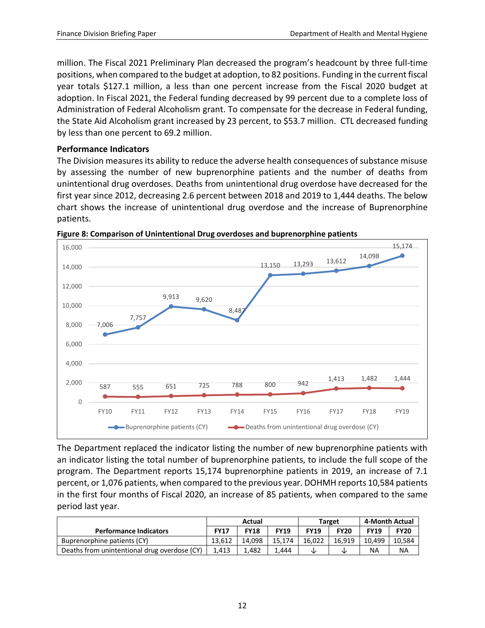million. The Fiscal 2021 Preliminary Plan decreased the program's headcount by three full-time positions, when compared to the budget at adoption, to 82 positions. Funding in the current fiscal year totals \$127.1 million, a less than one percent increase from the Fiscal 2020 budget at adoption. In Fiscal 2021, the Federal funding decreased by 99 percent due to a complete loss of Administration of Federal Alcoholism grant. To compensate for the decrease in Federal funding, the State Aid Alcoholism grant increased by 23 percent, to \$53.7 million. CTL decreased funding by less than one percent to 69.2 million.

#### **Performance Indicators**

The Division measures its ability to reduce the adverse health consequences of substance misuse by assessing the number of new buprenorphine patients and the number of deaths from unintentional drug overdoses. Deaths from unintentional drug overdose have decreased for the first year since 2012, decreasing 2.6 percent between 2018 and 2019 to 1,444 deaths. The below chart shows the increase of unintentional drug overdose and the increase of Buprenorphine patients.



**Figure 8: Comparison of Unintentional Drug overdoses and buprenorphine patients**

The Department replaced the indicator listing the number of new buprenorphine patients with an indicator listing the total number of buprenorphine patients, to include the full scope of the program. The Department reports 15,174 buprenorphine patients in 2019, an increase of 7.1 percent, or 1,076 patients, when compared to the previous year. DOHMH reports 10,584 patients in the first four months of Fiscal 2020, an increase of 85 patients, when compared to the same period last year.

|                                              | Actual      |             |             |             | <b>Target</b> | 4-Month Actual |             |
|----------------------------------------------|-------------|-------------|-------------|-------------|---------------|----------------|-------------|
| <b>Performance Indicators</b>                | <b>FY17</b> | <b>FY18</b> | <b>FY19</b> | <b>FY19</b> | <b>FY20</b>   | <b>FY19</b>    | <b>FY20</b> |
| Buprenorphine patients (CY)                  | 13.612      | 14.098      | 15.174      | 16.022      | 16.919        | 10.499         | 10.584      |
| Deaths from unintentional drug overdose (CY) | 1.413       | 1.482       | 1.444       |             | NZ.           | NA             | <b>NA</b>   |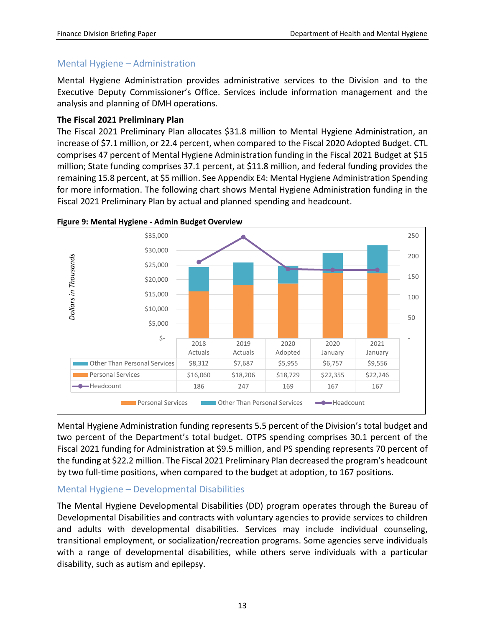## <span id="page-14-0"></span>Mental Hygiene – Administration

Mental Hygiene Administration provides administrative services to the Division and to the Executive Deputy Commissioner's Office. Services include information management and the analysis and planning of DMH operations.

#### **The Fiscal 2021 Preliminary Plan**

The Fiscal 2021 Preliminary Plan allocates \$31.8 million to Mental Hygiene Administration, an increase of \$7.1 million, or 22.4 percent, when compared to the Fiscal 2020 Adopted Budget. CTL comprises 47 percent of Mental Hygiene Administration funding in the Fiscal 2021 Budget at \$15 million; State funding comprises 37.1 percent, at \$11.8 million, and federal funding provides the remaining 15.8 percent, at \$5 million. See Appendix E4: Mental Hygiene Administration Spending for more information. The following chart shows Mental Hygiene Administration funding in the Fiscal 2021 Preliminary Plan by actual and planned spending and headcount.





Mental Hygiene Administration funding represents 5.5 percent of the Division's total budget and two percent of the Department's total budget. OTPS spending comprises 30.1 percent of the Fiscal 2021 funding for Administration at \$9.5 million, and PS spending represents 70 percent of the funding at \$22.2 million. The Fiscal 2021 Preliminary Plan decreased the program's headcount by two full-time positions, when compared to the budget at adoption, to 167 positions.

#### <span id="page-14-1"></span>Mental Hygiene – Developmental Disabilities

The Mental Hygiene Developmental Disabilities (DD) program operates through the Bureau of Developmental Disabilities and contracts with voluntary agencies to provide services to children and adults with developmental disabilities. Services may include individual counseling, transitional employment, or socialization/recreation programs. Some agencies serve individuals with a range of developmental disabilities, while others serve individuals with a particular disability, such as autism and epilepsy.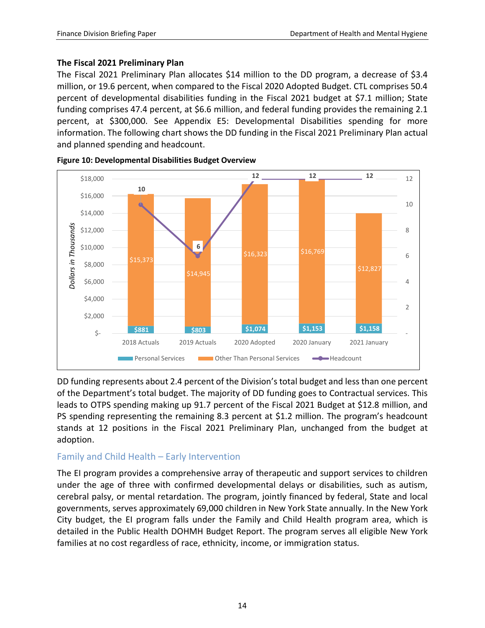#### **The Fiscal 2021 Preliminary Plan**

The Fiscal 2021 Preliminary Plan allocates \$14 million to the DD program, a decrease of \$3.4 million, or 19.6 percent, when compared to the Fiscal 2020 Adopted Budget. CTL comprises 50.4 percent of developmental disabilities funding in the Fiscal 2021 budget at \$7.1 million; State funding comprises 47.4 percent, at \$6.6 million, and federal funding provides the remaining 2.1 percent, at \$300,000. See Appendix E5: Developmental Disabilities spending for more information. The following chart shows the DD funding in the Fiscal 2021 Preliminary Plan actual and planned spending and headcount.





DD funding represents about 2.4 percent of the Division's total budget and less than one percent of the Department's total budget. The majority of DD funding goes to Contractual services. This leads to OTPS spending making up 91.7 percent of the Fiscal 2021 Budget at \$12.8 million, and PS spending representing the remaining 8.3 percent at \$1.2 million. The program's headcount stands at 12 positions in the Fiscal 2021 Preliminary Plan, unchanged from the budget at adoption.

# <span id="page-15-0"></span>Family and Child Health – Early Intervention

The EI program provides a comprehensive array of therapeutic and support services to children under the age of three with confirmed developmental delays or disabilities, such as autism, cerebral palsy, or mental retardation. The program, jointly financed by federal, State and local governments, serves approximately 69,000 children in New York State annually. In the New York City budget, the EI program falls under the Family and Child Health program area, which is detailed in the Public Health DOHMH Budget Report. The program serves all eligible New York families at no cost regardless of race, ethnicity, income, or immigration status.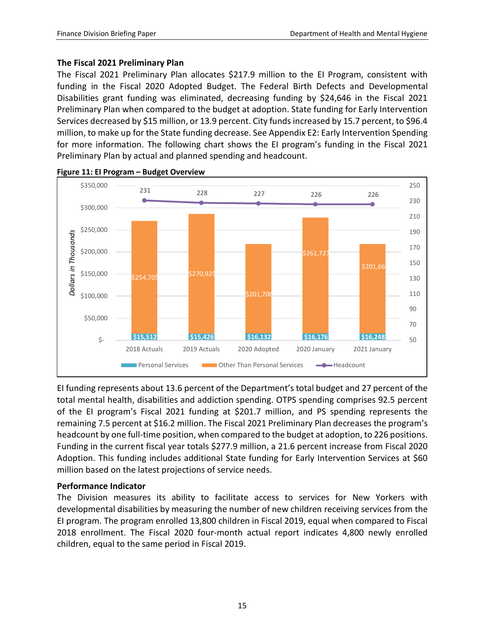#### **The Fiscal 2021 Preliminary Plan**

The Fiscal 2021 Preliminary Plan allocates \$217.9 million to the EI Program, consistent with funding in the Fiscal 2020 Adopted Budget. The Federal Birth Defects and Developmental Disabilities grant funding was eliminated, decreasing funding by \$24,646 in the Fiscal 2021 Preliminary Plan when compared to the budget at adoption. State funding for Early Intervention Services decreased by \$15 million, or 13.9 percent. City funds increased by 15.7 percent, to \$96.4 million, to make up for the State funding decrease. See Appendix E2: Early Intervention Spending for more information. The following chart shows the EI program's funding in the Fiscal 2021 Preliminary Plan by actual and planned spending and headcount.



**Figure 11: EI Program – Budget Overview** 

EI funding represents about 13.6 percent of the Department's total budget and 27 percent of the total mental health, disabilities and addiction spending. OTPS spending comprises 92.5 percent of the EI program's Fiscal 2021 funding at \$201.7 million, and PS spending represents the remaining 7.5 percent at \$16.2 million. The Fiscal 2021 Preliminary Plan decreases the program's headcount by one full-time position, when compared to the budget at adoption, to 226 positions. Funding in the current fiscal year totals \$277.9 million, a 21.6 percent increase from Fiscal 2020 Adoption. This funding includes additional State funding for Early Intervention Services at \$60 million based on the latest projections of service needs.

#### **Performance Indicator**

The Division measures its ability to facilitate access to services for New Yorkers with developmental disabilities by measuring the number of new children receiving services from the EI program. The program enrolled 13,800 children in Fiscal 2019, equal when compared to Fiscal 2018 enrollment. The Fiscal 2020 four-month actual report indicates 4,800 newly enrolled children, equal to the same period in Fiscal 2019.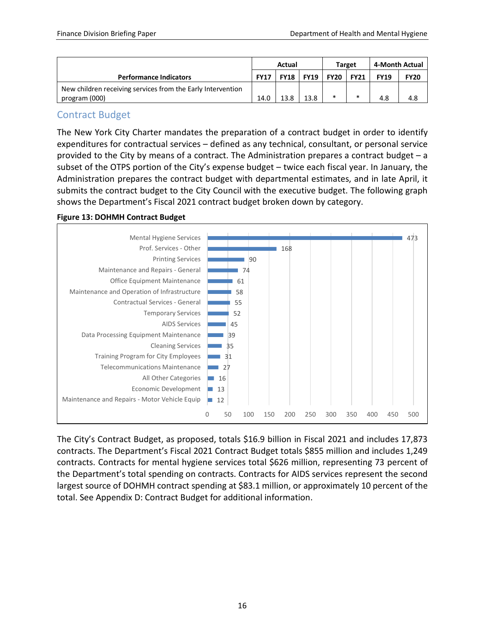|                                                             | Actual      |             |               |             | <b>Target</b> | 4-Month Actual |             |
|-------------------------------------------------------------|-------------|-------------|---------------|-------------|---------------|----------------|-------------|
| <b>Performance Indicators</b>                               | <b>FY17</b> | <b>FY18</b> | <b>FY19</b> 1 | <b>FY20</b> | <b>FY21</b>   | <b>FY19</b>    | <b>FY20</b> |
| New children receiving services from the Early Intervention |             |             |               |             |               |                |             |
| program (000)                                               | 14.0        | 13.8        | 13.8          | ∗           |               | 4.8            | 4.8         |

# <span id="page-17-0"></span>Contract Budget

The New York City Charter mandates the preparation of a contract budget in order to identify expenditures for contractual services – defined as any technical, consultant, or personal service provided to the City by means of a contract. The Administration prepares a contract budget – a subset of the OTPS portion of the City's expense budget – twice each fiscal year. In January, the Administration prepares the contract budget with departmental estimates, and in late April, it submits the contract budget to the City Council with the executive budget. The following graph shows the Department's Fiscal 2021 contract budget broken down by category.

#### **Figure 13: DOHMH Contract Budget**



The City's Contract Budget, as proposed, totals \$16.9 billion in Fiscal 2021 and includes 17,873 contracts. The Department's Fiscal 2021 Contract Budget totals \$855 million and includes 1,249 contracts. Contracts for mental hygiene services total \$626 million, representing 73 percent of the Department's total spending on contracts. Contracts for AIDS services represent the second largest source of DOHMH contract spending at \$83.1 million, or approximately 10 percent of the total. See Appendix D: Contract Budget for additional information.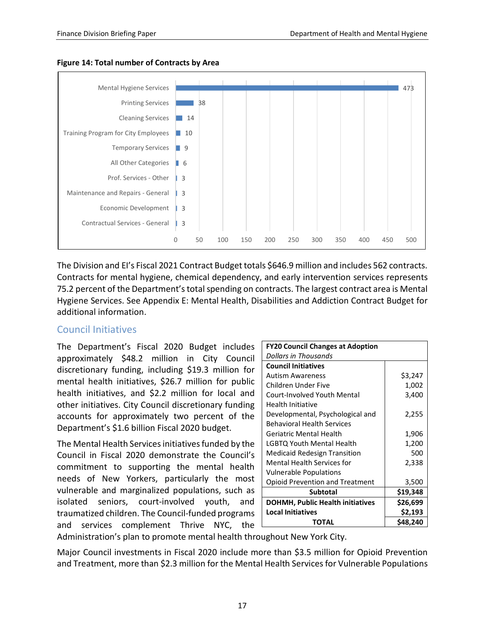

#### **Figure 14: Total number of Contracts by Area**

The Division and EI's Fiscal 2021 Contract Budget totals \$646.9 million and includes 562 contracts. Contracts for mental hygiene, chemical dependency, and early intervention services represents 75.2 percent of the Department's total spending on contracts. The largest contract area is Mental Hygiene Services. See Appendix E: Mental Health, Disabilities and Addiction Contract Budget for additional information.

#### <span id="page-18-0"></span>Council Initiatives

The Department's Fiscal 2020 Budget includes approximately \$48.2 million in City Council discretionary funding, including \$19.3 million for mental health initiatives, \$26.7 million for public health initiatives, and \$2.2 million for local and other initiatives. City Council discretionary funding accounts for approximately two percent of the Department's \$1.6 billion Fiscal 2020 budget.

The Mental Health Services initiatives funded by the Council in Fiscal 2020 demonstrate the Council's commitment to supporting the mental health needs of New Yorkers, particularly the most vulnerable and marginalized populations, such as isolated seniors, court-involved youth, and traumatized children. The Council-funded programs and services complement Thrive NYC, the

| <b>FY20 Council Changes at Adoption</b> |          |
|-----------------------------------------|----------|
| Dollars in Thousands                    |          |
| <b>Council Initiatives</b>              |          |
| <b>Autism Awareness</b>                 | \$3,247  |
| Children Under Five                     | 1,002    |
| Court-Involved Youth Mental             | 3,400    |
| Health Initiative                       |          |
| Developmental, Psychological and        | 2,255    |
| <b>Behavioral Health Services</b>       |          |
| Geriatric Mental Health                 | 1,906    |
| LGBTQ Youth Mental Health               | 1,200    |
| <b>Medicaid Redesign Transition</b>     | 500      |
| Mental Health Services for              | 2,338    |
| <b>Vulnerable Populations</b>           |          |
| <b>Opioid Prevention and Treatment</b>  | 3,500    |
| Subtotal                                | \$19,348 |
| <b>DOHMH, Public Health initiatives</b> | \$26,699 |
| <b>Local Initiatives</b>                | \$2,193  |
| TOTAL                                   | \$48,240 |

Administration's plan to promote mental health throughout New York City.

Major Council investments in Fiscal 2020 include more than \$3.5 million for Opioid Prevention and Treatment, more than \$2.3 million for the Mental Health Services for Vulnerable Populations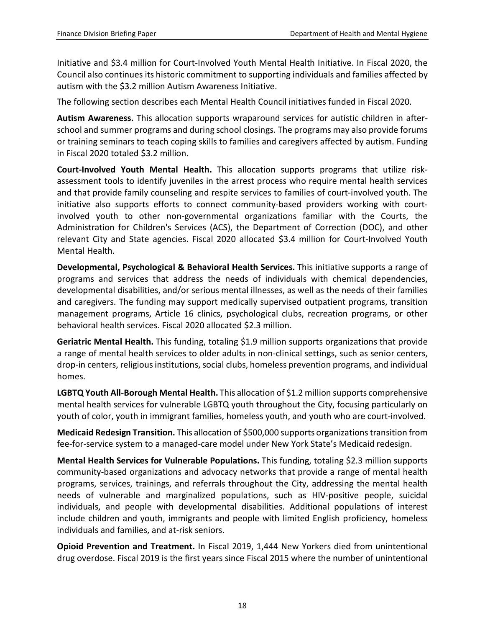Initiative and \$3.4 million for Court-Involved Youth Mental Health Initiative. In Fiscal 2020, the Council also continues its historic commitment to supporting individuals and families affected by autism with the \$3.2 million Autism Awareness Initiative.

The following section describes each Mental Health Council initiatives funded in Fiscal 2020.

**Autism Awareness.** This allocation supports wraparound services for autistic children in afterschool and summer programs and during school closings. The programs may also provide forums or training seminars to teach coping skills to families and caregivers affected by autism. Funding in Fiscal 2020 totaled \$3.2 million.

**Court-Involved Youth Mental Health.** This allocation supports programs that utilize riskassessment tools to identify juveniles in the arrest process who require mental health services and that provide family counseling and respite services to families of court-involved youth. The initiative also supports efforts to connect community-based providers working with courtinvolved youth to other non-governmental organizations familiar with the Courts, the Administration for Children's Services (ACS), the Department of Correction (DOC), and other relevant City and State agencies. Fiscal 2020 allocated \$3.4 million for Court-Involved Youth Mental Health.

**Developmental, Psychological & Behavioral Health Services.** This initiative supports a range of programs and services that address the needs of individuals with chemical dependencies, developmental disabilities, and/or serious mental illnesses, as well as the needs of their families and caregivers. The funding may support medically supervised outpatient programs, transition management programs, Article 16 clinics, psychological clubs, recreation programs, or other behavioral health services. Fiscal 2020 allocated \$2.3 million.

**Geriatric Mental Health.** This funding, totaling \$1.9 million supports organizations that provide a range of mental health services to older adults in non-clinical settings, such as senior centers, drop-in centers, religious institutions, social clubs, homeless prevention programs, and individual homes.

**LGBTQ Youth All-Borough Mental Health.** This allocation of \$1.2 million supports comprehensive mental health services for vulnerable LGBTQ youth throughout the City, focusing particularly on youth of color, youth in immigrant families, homeless youth, and youth who are court-involved.

**Medicaid Redesign Transition.** This allocation of \$500,000 supports organizations transition from fee-for-service system to a managed-care model under New York State's Medicaid redesign.

**Mental Health Services for Vulnerable Populations.** This funding, totaling \$2.3 million supports community-based organizations and advocacy networks that provide a range of mental health programs, services, trainings, and referrals throughout the City, addressing the mental health needs of vulnerable and marginalized populations, such as HIV-positive people, suicidal individuals, and people with developmental disabilities. Additional populations of interest include children and youth, immigrants and people with limited English proficiency, homeless individuals and families, and at-risk seniors.

**Opioid Prevention and Treatment.** In Fiscal 2019, 1,444 New Yorkers died from unintentional drug overdose. Fiscal 2019 is the first years since Fiscal 2015 where the number of unintentional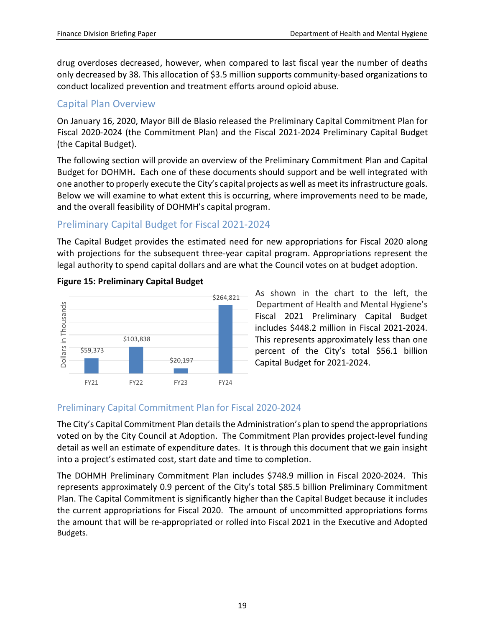drug overdoses decreased, however, when compared to last fiscal year the number of deaths only decreased by 38. This allocation of \$3.5 million supports community-based organizations to conduct localized prevention and treatment efforts around opioid abuse.

# <span id="page-20-0"></span>Capital Plan Overview

On January 16, 2020, Mayor Bill de Blasio released the Preliminary Capital Commitment Plan for Fiscal 2020-2024 (the Commitment Plan) and the Fiscal 2021-2024 Preliminary Capital Budget (the Capital Budget).

The following section will provide an overview of the Preliminary Commitment Plan and Capital Budget for DOHMH**.** Each one of these documents should support and be well integrated with one another to properly execute the City's capital projects as well as meet its infrastructure goals. Below we will examine to what extent this is occurring, where improvements need to be made, and the overall feasibility of DOHMH's capital program.

# <span id="page-20-1"></span>Preliminary Capital Budget for Fiscal 2021-2024

The Capital Budget provides the estimated need for new appropriations for Fiscal 2020 along with projections for the subsequent three-year capital program. Appropriations represent the legal authority to spend capital dollars and are what the Council votes on at budget adoption.



#### **Figure 15: Preliminary Capital Budget**

As shown in the chart to the left, the Department of Health and Mental Hygiene's Fiscal 2021 Preliminary Capital Budget includes \$448.2 million in Fiscal 2021-2024. This represents approximately less than one percent of the City's total \$56.1 billion Capital Budget for 2021-2024.

# <span id="page-20-2"></span>Preliminary Capital Commitment Plan for Fiscal 2020-2024

The City's Capital Commitment Plan details the Administration's plan to spend the appropriations voted on by the City Council at Adoption. The Commitment Plan provides project-level funding detail as well an estimate of expenditure dates. It is through this document that we gain insight into a project's estimated cost, start date and time to completion.

The DOHMH Preliminary Commitment Plan includes \$748.9 million in Fiscal 2020-2024. This represents approximately 0.9 percent of the City's total \$85.5 billion Preliminary Commitment Plan. The Capital Commitment is significantly higher than the Capital Budget because it includes the current appropriations for Fiscal 2020. The amount of uncommitted appropriations forms the amount that will be re-appropriated or rolled into Fiscal 2021 in the Executive and Adopted Budgets.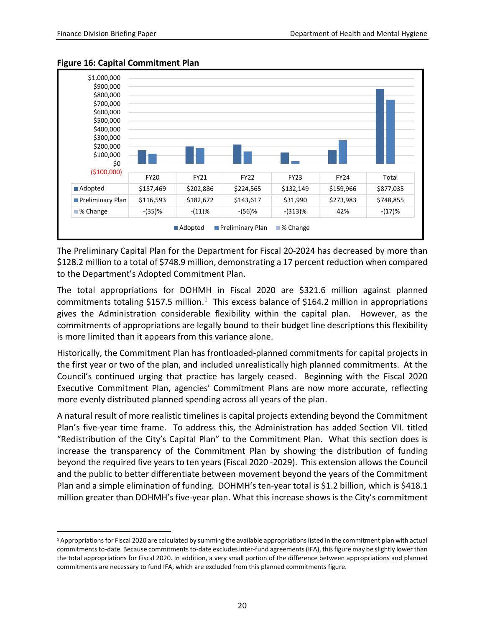$\overline{a}$ 



#### **Figure 16: Capital Commitment Plan**

The Preliminary Capital Plan for the Department for Fiscal 20-2024 has decreased by more than \$128.2 million to a total of \$748.9 million, demonstrating a 17 percent reduction when compared to the Department's Adopted Commitment Plan.

The total appropriations for DOHMH in Fiscal 2020 are \$321.6 million against planned commitments totaling \$[1](#page-21-0)57.5 million.<sup>1</sup> This excess balance of \$164.2 million in appropriations gives the Administration considerable flexibility within the capital plan. However, as the commitments of appropriations are legally bound to their budget line descriptions this flexibility is more limited than it appears from this variance alone.

Historically, the Commitment Plan has frontloaded-planned commitments for capital projects in the first year or two of the plan, and included unrealistically high planned commitments. At the Council's continued urging that practice has largely ceased. Beginning with the Fiscal 2020 Executive Commitment Plan, agencies' Commitment Plans are now more accurate, reflecting more evenly distributed planned spending across all years of the plan.

A natural result of more realistic timelines is capital projects extending beyond the Commitment Plan's five-year time frame. To address this, the Administration has added Section VII. titled "Redistribution of the City's Capital Plan" to the Commitment Plan. What this section does is increase the transparency of the Commitment Plan by showing the distribution of funding beyond the required five years to ten years (Fiscal 2020 -2029). This extension allows the Council and the public to better differentiate between movement beyond the years of the Commitment Plan and a simple elimination of funding. DOHMH's ten-year total is \$1.2 billion, which is \$418.1 million greater than DOHMH's five-year plan. What this increase shows is the City's commitment

<span id="page-21-0"></span><sup>1</sup> Appropriations for Fiscal 2020 are calculated by summing the available appropriations listed in the commitment plan with actual commitments to-date. Because commitments to-date excludes inter-fund agreements (IFA), this figure may be slightly lower than the total appropriations for Fiscal 2020. In addition, a very small portion of the difference between appropriations and planned commitments are necessary to fund IFA, which are excluded from this planned commitments figure.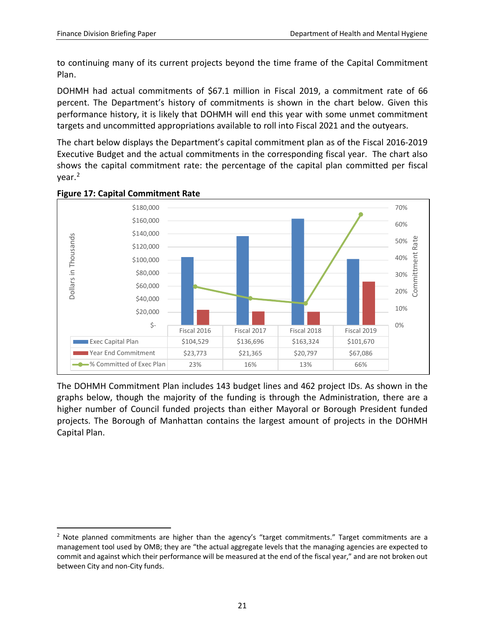to continuing many of its current projects beyond the time frame of the Capital Commitment Plan.

DOHMH had actual commitments of \$67.1 million in Fiscal 2019, a commitment rate of 66 percent. The Department's history of commitments is shown in the chart below. Given this performance history, it is likely that DOHMH will end this year with some unmet commitment targets and uncommitted appropriations available to roll into Fiscal 2021 and the outyears.

The chart below displays the Department's capital commitment plan as of the Fiscal 2016-2019 Executive Budget and the actual commitments in the corresponding fiscal year. The chart also shows the capital commitment rate: the percentage of the capital plan committed per fiscal year.<sup>2</sup>



#### **Figure 17: Capital Commitment Rate**

The DOHMH Commitment Plan includes 143 budget lines and 462 project IDs. As shown in the graphs below, though the majority of the funding is through the Administration, there are a higher number of Council funded projects than either Mayoral or Borough President funded projects. The Borough of Manhattan contains the largest amount of projects in the DOHMH Capital Plan.

<span id="page-22-0"></span> $<sup>2</sup>$  Note planned commitments are higher than the agency's "target commitments." Target commitments are a</sup> management tool used by OMB; they are "the actual aggregate levels that the managing agencies are expected to commit and against which their performance will be measured at the end of the fiscal year," and are not broken out between City and non-City funds.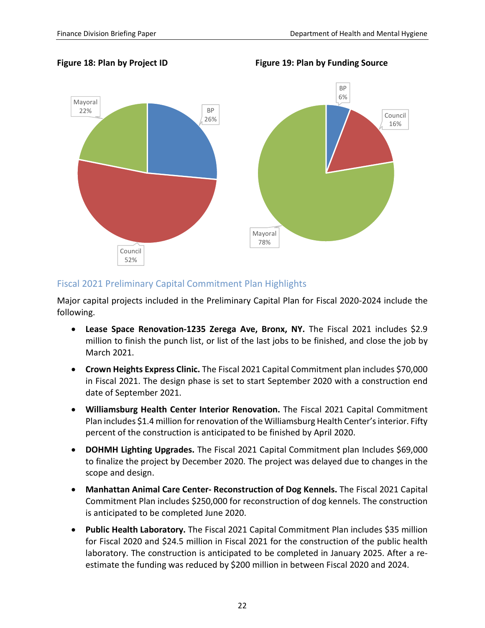Figure 18: Plan by Project ID **Figure 19: Plan by Funding Source** 



### <span id="page-23-0"></span>Fiscal 2021 Preliminary Capital Commitment Plan Highlights

Major capital projects included in the Preliminary Capital Plan for Fiscal 2020-2024 include the following.

- **Lease Space Renovation-1235 Zerega Ave, Bronx, NY.** The Fiscal 2021 includes \$2.9 million to finish the punch list, or list of the last jobs to be finished, and close the job by March 2021.
- **Crown Heights Express Clinic.** The Fiscal 2021 Capital Commitment plan includes \$70,000 in Fiscal 2021. The design phase is set to start September 2020 with a construction end date of September 2021.
- **Williamsburg Health Center Interior Renovation.** The Fiscal 2021 Capital Commitment Plan includes \$1.4 million for renovation of the Williamsburg Health Center's interior. Fifty percent of the construction is anticipated to be finished by April 2020.
- **DOHMH Lighting Upgrades.** The Fiscal 2021 Capital Commitment plan Includes \$69,000 to finalize the project by December 2020. The project was delayed due to changes in the scope and design.
- **Manhattan Animal Care Center- Reconstruction of Dog Kennels.** The Fiscal 2021 Capital Commitment Plan includes \$250,000 for reconstruction of dog kennels. The construction is anticipated to be completed June 2020.
- **Public Health Laboratory.** The Fiscal 2021 Capital Commitment Plan includes \$35 million for Fiscal 2020 and \$24.5 million in Fiscal 2021 for the construction of the public health laboratory. The construction is anticipated to be completed in January 2025. After a reestimate the funding was reduced by \$200 million in between Fiscal 2020 and 2024.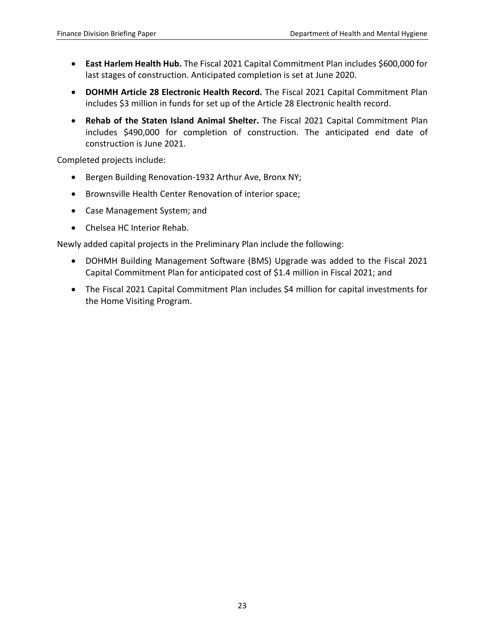- **East Harlem Health Hub.** The Fiscal 2021 Capital Commitment Plan includes \$600,000 for last stages of construction. Anticipated completion is set at June 2020.
- **DOHMH Article 28 Electronic Health Record.** The Fiscal 2021 Capital Commitment Plan includes \$3 million in funds for set up of the Article 28 Electronic health record.
- **Rehab of the Staten Island Animal Shelter.** The Fiscal 2021 Capital Commitment Plan includes \$490,000 for completion of construction. The anticipated end date of construction is June 2021.

Completed projects include:

- Bergen Building Renovation-1932 Arthur Ave, Bronx NY;
- Brownsville Health Center Renovation of interior space;
- Case Management System; and
- Chelsea HC Interior Rehab.

Newly added capital projects in the Preliminary Plan include the following:

- DOHMH Building Management Software (BMS) Upgrade was added to the Fiscal 2021 Capital Commitment Plan for anticipated cost of \$1.4 million in Fiscal 2021; and
- The Fiscal 2021 Capital Commitment Plan includes \$4 million for capital investments for the Home Visiting Program.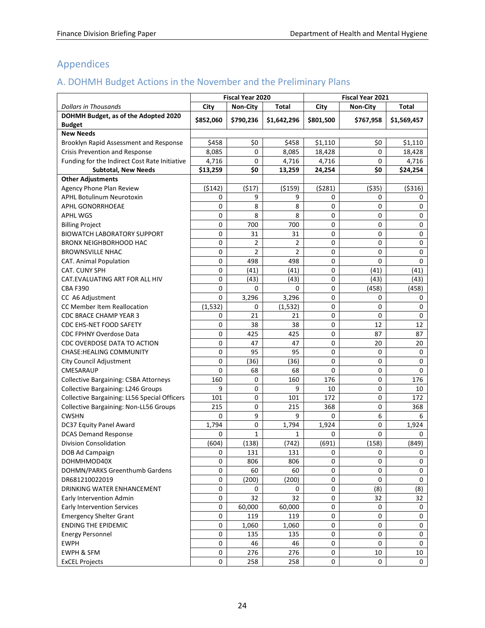# <span id="page-25-0"></span>Appendices

# <span id="page-25-1"></span>A. DOHMH Budget Actions in the November and the Preliminary Plans

|                                               |           | Fiscal Year 2020 |             |           | <b>Fiscal Year 2021</b> |             |
|-----------------------------------------------|-----------|------------------|-------------|-----------|-------------------------|-------------|
| <b>Dollars in Thousands</b>                   | City      | <b>Non-City</b>  | Total       | City      | <b>Non-City</b>         | Total       |
| DOHMH Budget, as of the Adopted 2020          |           | \$790,236        |             |           |                         |             |
| <b>Budget</b>                                 | \$852,060 |                  | \$1,642,296 | \$801,500 | \$767,958               | \$1,569,457 |
| <b>New Needs</b>                              |           |                  |             |           |                         |             |
| Brooklyn Rapid Assessment and Response        | \$458     | \$0              | \$458       | \$1,110   | \$0                     | \$1.110     |
| Crisis Prevention and Response                | 8,085     | 0                | 8,085       | 18,428    | 0                       | 18,428      |
| Funding for the Indirect Cost Rate Initiative | 4,716     | 0                | 4,716       | 4,716     | 0                       | 4,716       |
| <b>Subtotal, New Needs</b>                    | \$13,259  | \$0              | 13,259      | 24,254    | \$0                     | \$24,254    |
| <b>Other Adjustments</b>                      |           |                  |             |           |                         |             |
| Agency Phone Plan Review                      | (5142)    | (517)            | ( \$159)    | (5281)    | ( \$35)                 | ( \$316)    |
| <b>APHL Botulinum Neurotoxin</b>              | 0         | 9                | 9           | 0         | 0                       | 0           |
| APHL GONORRHOEAE                              | 0         | 8                | 8           | 0         | $\Omega$                | 0           |
| <b>APHL WGS</b>                               | 0         | 8                | 8           | 0         | $\Omega$                | $\mathsf 0$ |
| <b>Billing Project</b>                        | 0         | 700              | 700         | 0         | 0                       | 0           |
| <b>BIOWATCH LABORATORY SUPPORT</b>            | 0         | 31               | 31          | 0         | 0                       | $\mathsf 0$ |
| <b>BRONX NEIGHBORHOOD HAC</b>                 | 0         | 2                | 2           | 0         | 0                       | $\mathsf 0$ |
| <b>BROWNSVILLE NHAC</b>                       | 0         | 2                | 2           | 0         | 0                       | $\mathsf 0$ |
| <b>CAT. Animal Population</b>                 | 0         | 498              | 498         | 0         | $\Omega$                | 0           |
| <b>CAT. CUNY SPH</b>                          | 0         | (41)             | (41)        | 0         | (41)                    | (41)        |
| CAT.EVALUATING ART FOR ALL HIV                | 0         | (43)             | (43)        | 0         | (43)                    | (43)        |
| <b>CBA F390</b>                               | 0         | 0                | 0           | 0         | (458)                   | (458)       |
| CC A6 Adjustment                              | 0         | 3,296            | 3,296       | 0         | 0                       | 0           |
| CC Member Item Reallocation                   | (1, 532)  | 0                | (1, 532)    | 0         | 0                       | $\mathsf 0$ |
| <b>CDC BRACE CHAMP YEAR 3</b>                 | 0         | 21               | 21          | 0         | $\Omega$                | 0           |
| <b>CDC EHS-NET FOOD SAFETY</b>                | 0         | 38               | 38          | 0         | 12                      | 12          |
| <b>CDC FPHNY Overdose Data</b>                | 0         | 425              | 425         | 0         | 87                      | 87          |
| CDC OVERDOSE DATA TO ACTION                   | 0         | 47               | 47          | 0         | 20                      | 20          |
| <b>CHASE:HEALING COMMUNITY</b>                | 0         | 95               | 95          | 0         | 0                       | 0           |
| City Council Adjustment                       | 0         | (36)             | (36)        | 0         | 0                       | 0           |
| CMESARAUP                                     | 0         | 68               | 68          | 0         | 0                       | 0           |
| <b>Collective Bargaining: CSBA Attorneys</b>  | 160       | 0                | 160         | 176       | 0                       | 176         |
| Collective Bargaining: L246 Groups            | 9         | 0                | 9           | 10        | 0                       | 10          |
| Collective Bargaining: LL56 Special Officers  | 101       | 0                | 101         | 172       | $\mathbf 0$             | 172         |
| Collective Bargaining: Non-LL56 Groups        | 215       | 0                | 215         | 368       | 0                       | 368         |
| <b>CWSHN</b>                                  | 0         | 9                | 9           | 0         | 6                       | 6           |
| DC37 Equity Panel Award                       | 1,794     | 0                | 1,794       | 1,924     | $\Omega$                | 1,924       |
| <b>DCAS Demand Response</b>                   | 0         | $\mathbf 1$      | 1           | 0         | $\Omega$                | 0           |
| <b>Division Consolidation</b>                 | (604)     | (138)            | (742)       | (691)     | (158)                   | (849)       |
| DOB Ad Campaign                               | 0         | 131              | 131         | 0         | 0                       | 0           |
| DOHMHMOD40X                                   | 0         | 806              | 806         | 0         | $\Omega$                | 0           |
| DOHMN/PARKS Greenthumb Gardens                | 0         | 60               | 60          | 0         | 0                       | 0           |
| DR681210022019                                | 0         | (200)            | (200)       | 0         | 0                       | $\mathbf 0$ |
| DRINKING WATER ENHANCEMENT                    | 0         | 0                | 0           | 0         | (8)                     | (8)         |
| Early Intervention Admin                      | 0         | 32               | 32          | 0         | 32                      | 32          |
| Early Intervention Services                   | 0         | 60,000           | 60,000      | 0         | 0                       | 0           |
| <b>Emergency Shelter Grant</b>                | 0         | 119              | 119         | 0         | 0                       | 0           |
| <b>ENDING THE EPIDEMIC</b>                    | 0         | 1,060            | 1,060       | 0         | 0                       | 0           |
| <b>Energy Personnel</b>                       | 0         | 135              | 135         | 0         | 0                       | 0           |
| <b>EWPH</b>                                   | 0         | 46               | 46          | 0         | 0                       | 0           |
| EWPH & SFM                                    | 0         | 276              | 276         | 0         | 10                      | 10          |
| <b>ExCEL Projects</b>                         | 0         | 258              | 258         | 0         | 0                       | 0           |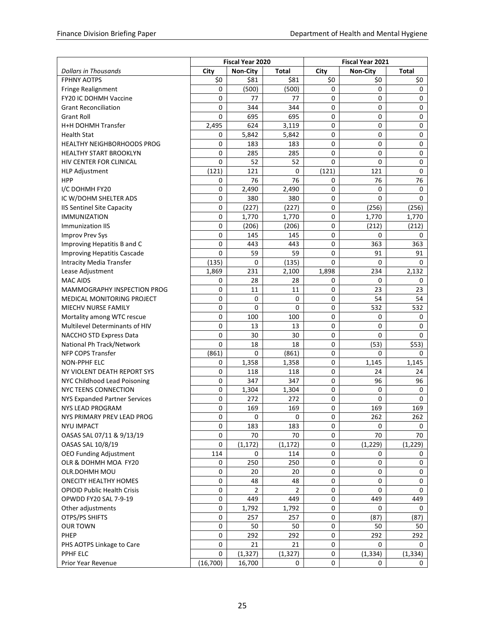| <b>Dollars in Thousands</b><br>City<br>Non-City<br><b>Total</b><br>City<br><b>Non-City</b><br><b>Total</b><br><b>FPHNY AOTPS</b><br>\$0<br>\$0<br>\$81<br>\$81<br>\$0<br>\$0<br>0<br>(500)<br>(500)<br>0<br>0<br>0<br>Fringe Realignment<br>FY20 IC DOHMH Vaccine<br>0<br>0<br>0<br>77<br>77<br>0<br>$\mathbf 0$<br>0<br>344<br>344<br>0<br>0<br><b>Grant Reconciliation</b><br><b>Grant Roll</b><br>695<br>695<br>0<br>0<br>0<br>0<br>624<br>0<br>0<br>0<br>H+H DOHMH Transfer<br>2,495<br>3,119<br>5,842<br>0<br>0<br>$\mathsf 0$<br><b>Health Stat</b><br>0<br>5,842<br>$\mathbf 0$<br>$\mathbf 0$<br>$\mathbf 0$<br>183<br>183<br>0<br><b>HEALTHY NEIGHBORHOODS PROG</b><br>$\Omega$<br>$\mathbf 0$<br>0<br>$\Omega$<br><b>HEALTHY START BROOKLYN</b><br>285<br>285 |
|-------------------------------------------------------------------------------------------------------------------------------------------------------------------------------------------------------------------------------------------------------------------------------------------------------------------------------------------------------------------------------------------------------------------------------------------------------------------------------------------------------------------------------------------------------------------------------------------------------------------------------------------------------------------------------------------------------------------------------------------------------------------------|
|                                                                                                                                                                                                                                                                                                                                                                                                                                                                                                                                                                                                                                                                                                                                                                         |
|                                                                                                                                                                                                                                                                                                                                                                                                                                                                                                                                                                                                                                                                                                                                                                         |
|                                                                                                                                                                                                                                                                                                                                                                                                                                                                                                                                                                                                                                                                                                                                                                         |
|                                                                                                                                                                                                                                                                                                                                                                                                                                                                                                                                                                                                                                                                                                                                                                         |
|                                                                                                                                                                                                                                                                                                                                                                                                                                                                                                                                                                                                                                                                                                                                                                         |
|                                                                                                                                                                                                                                                                                                                                                                                                                                                                                                                                                                                                                                                                                                                                                                         |
|                                                                                                                                                                                                                                                                                                                                                                                                                                                                                                                                                                                                                                                                                                                                                                         |
|                                                                                                                                                                                                                                                                                                                                                                                                                                                                                                                                                                                                                                                                                                                                                                         |
|                                                                                                                                                                                                                                                                                                                                                                                                                                                                                                                                                                                                                                                                                                                                                                         |
|                                                                                                                                                                                                                                                                                                                                                                                                                                                                                                                                                                                                                                                                                                                                                                         |
| 52<br>52<br>$\Omega$<br>0<br>HIV CENTER FOR CLINICAL<br>0<br>$\mathsf 0$                                                                                                                                                                                                                                                                                                                                                                                                                                                                                                                                                                                                                                                                                                |
| $\mathbf 0$<br>(121)<br>121<br>0<br>(121)<br>121<br><b>HLP Adjustment</b>                                                                                                                                                                                                                                                                                                                                                                                                                                                                                                                                                                                                                                                                                               |
| 76<br>76<br><b>HPP</b><br>0<br>0<br>76<br>76                                                                                                                                                                                                                                                                                                                                                                                                                                                                                                                                                                                                                                                                                                                            |
| I/C DOHMH FY20<br>0<br>2,490<br>2,490<br>0<br>0<br>0                                                                                                                                                                                                                                                                                                                                                                                                                                                                                                                                                                                                                                                                                                                    |
| IC W/DOHM SHELTER ADS<br>0<br>380<br>380<br>0<br>$\Omega$<br>$\Omega$                                                                                                                                                                                                                                                                                                                                                                                                                                                                                                                                                                                                                                                                                                   |
| 0<br>(227)<br>(227)<br>0<br>(256)<br>(256)<br><b>IIS Sentinel Site Capacity</b>                                                                                                                                                                                                                                                                                                                                                                                                                                                                                                                                                                                                                                                                                         |
| <b>IMMUNIZATION</b><br>0<br>1,770<br>1,770<br>0<br>1,770<br>1,770                                                                                                                                                                                                                                                                                                                                                                                                                                                                                                                                                                                                                                                                                                       |
| 0<br>Immunization IIS<br>(206)<br>(206)<br>0<br>(212)<br>(212)                                                                                                                                                                                                                                                                                                                                                                                                                                                                                                                                                                                                                                                                                                          |
| 0<br>0<br><b>Improv Prev Sys</b><br>145<br>145<br>0<br>0                                                                                                                                                                                                                                                                                                                                                                                                                                                                                                                                                                                                                                                                                                                |
| 0<br>0<br>363<br>Improving Hepatitis B and C<br>443<br>443<br>363                                                                                                                                                                                                                                                                                                                                                                                                                                                                                                                                                                                                                                                                                                       |
| $\Omega$<br>59<br>$\mathbf 0$<br>59<br>91<br><b>Improving Hepatitis Cascade</b><br>91                                                                                                                                                                                                                                                                                                                                                                                                                                                                                                                                                                                                                                                                                   |
| <b>Intracity Media Transfer</b><br>(135)<br>$\Omega$<br>(135)<br>$\Omega$<br>$\Omega$<br>$\Omega$                                                                                                                                                                                                                                                                                                                                                                                                                                                                                                                                                                                                                                                                       |
| 1,869<br>231<br>234<br>Lease Adjustment<br>2,100<br>1,898<br>2,132                                                                                                                                                                                                                                                                                                                                                                                                                                                                                                                                                                                                                                                                                                      |
| <b>MAC AIDS</b><br>28<br>0<br>28<br>0<br>0<br>0                                                                                                                                                                                                                                                                                                                                                                                                                                                                                                                                                                                                                                                                                                                         |
| 23<br>0<br>0<br>23<br>MAMMOGRAPHY INSPECTION PROG<br>11<br>11                                                                                                                                                                                                                                                                                                                                                                                                                                                                                                                                                                                                                                                                                                           |
| 0<br>0<br>0<br>0<br>54<br>54<br>MEDICAL MONITORING PROJECT                                                                                                                                                                                                                                                                                                                                                                                                                                                                                                                                                                                                                                                                                                              |
| 0<br>$\Omega$<br>0<br>0<br>532<br>532<br>MIECHV NURSE FAMILY                                                                                                                                                                                                                                                                                                                                                                                                                                                                                                                                                                                                                                                                                                            |
| 0<br>100<br>100<br>0<br>0<br>Mortality among WTC rescue<br>0                                                                                                                                                                                                                                                                                                                                                                                                                                                                                                                                                                                                                                                                                                            |
| Multilevel Determinants of HIV<br>0<br>13<br>13<br>0<br>0<br>0                                                                                                                                                                                                                                                                                                                                                                                                                                                                                                                                                                                                                                                                                                          |
| 0<br>30<br>30<br>0<br>$\Omega$<br>0<br>NACCHO STD Express Data                                                                                                                                                                                                                                                                                                                                                                                                                                                                                                                                                                                                                                                                                                          |
| National Ph Track/Network<br>0<br>18<br>18<br>0<br>(53)<br>\$53)                                                                                                                                                                                                                                                                                                                                                                                                                                                                                                                                                                                                                                                                                                        |
| NFP COPS Transfer<br>(861)<br>0<br>0<br>0<br>(861)<br>0                                                                                                                                                                                                                                                                                                                                                                                                                                                                                                                                                                                                                                                                                                                 |
| 0<br>1,145<br><b>NON-PPHF ELC</b><br>0<br>1,358<br>1,358<br>1,145                                                                                                                                                                                                                                                                                                                                                                                                                                                                                                                                                                                                                                                                                                       |
| 0<br>0<br>118<br>118<br>24<br>24<br>NY VIOLENT DEATH REPORT SYS                                                                                                                                                                                                                                                                                                                                                                                                                                                                                                                                                                                                                                                                                                         |
| 0<br>347<br>96<br>96<br>NYC Childhood Lead Poisoning<br>347<br>0                                                                                                                                                                                                                                                                                                                                                                                                                                                                                                                                                                                                                                                                                                        |
| NYC TEENS CONNECTION<br>0<br>0<br>0<br>0<br>1,304<br>1,304                                                                                                                                                                                                                                                                                                                                                                                                                                                                                                                                                                                                                                                                                                              |
| 0<br>272<br>272<br>0<br>0<br>0<br>NYS Expanded Partner Services                                                                                                                                                                                                                                                                                                                                                                                                                                                                                                                                                                                                                                                                                                         |
| <b>NYS LEAD PROGRAM</b><br>0<br>169<br>169<br>0<br>169<br>169                                                                                                                                                                                                                                                                                                                                                                                                                                                                                                                                                                                                                                                                                                           |
| 262<br>NYS PRIMARY PREV LEAD PROG<br>0<br>0<br>262<br>0<br>0                                                                                                                                                                                                                                                                                                                                                                                                                                                                                                                                                                                                                                                                                                            |
| 0<br>183<br>183<br>0<br><b>NYU IMPACT</b><br>0<br>0                                                                                                                                                                                                                                                                                                                                                                                                                                                                                                                                                                                                                                                                                                                     |
| OASAS SAL 07/11 & 9/13/19<br>0<br>70<br>70<br>0<br>70<br>70                                                                                                                                                                                                                                                                                                                                                                                                                                                                                                                                                                                                                                                                                                             |
| OASAS SAL 10/8/19<br>0<br>(1, 172)<br>(1, 172)<br>0<br>(1, 229)<br>(1, 229)                                                                                                                                                                                                                                                                                                                                                                                                                                                                                                                                                                                                                                                                                             |
| <b>OEO Funding Adjustment</b><br>0<br>114<br>0<br>114<br>0<br>0                                                                                                                                                                                                                                                                                                                                                                                                                                                                                                                                                                                                                                                                                                         |
| OLR & DOHMH MOA FY20<br>0<br>250<br>250<br>0<br>0<br>0                                                                                                                                                                                                                                                                                                                                                                                                                                                                                                                                                                                                                                                                                                                  |
| OLR.DOHMH MOU<br>0<br>20<br>0<br>0<br>0<br>20                                                                                                                                                                                                                                                                                                                                                                                                                                                                                                                                                                                                                                                                                                                           |
| $\pmb{0}$<br>48<br>$\mathbf 0$<br>$\mathbf 0$<br>$\pmb{0}$<br><b>ONECITY HEALTHY HOMES</b><br>48                                                                                                                                                                                                                                                                                                                                                                                                                                                                                                                                                                                                                                                                        |
| $\overline{2}$<br>$\mathbf 0$<br>2<br>0<br>$\Omega$<br>0<br><b>OPIOID Public Health Crisis</b>                                                                                                                                                                                                                                                                                                                                                                                                                                                                                                                                                                                                                                                                          |
| $\pmb{0}$<br>$\mathbf 0$<br>OPWDD FY20 SAL 7-9-19<br>449<br>449<br>449<br>449                                                                                                                                                                                                                                                                                                                                                                                                                                                                                                                                                                                                                                                                                           |
| 0<br>1,792<br>0<br>Other adjustments<br>1,792<br>0<br>0                                                                                                                                                                                                                                                                                                                                                                                                                                                                                                                                                                                                                                                                                                                 |
| OTPS/PS SHIFTS<br>0<br>257<br>257<br>0<br>(87)<br>(87)                                                                                                                                                                                                                                                                                                                                                                                                                                                                                                                                                                                                                                                                                                                  |
| 50<br>50<br><b>OUR TOWN</b><br>0<br>0<br>50<br>50                                                                                                                                                                                                                                                                                                                                                                                                                                                                                                                                                                                                                                                                                                                       |
| PHEP<br>0<br>292<br>292<br>0<br>292<br>292                                                                                                                                                                                                                                                                                                                                                                                                                                                                                                                                                                                                                                                                                                                              |
| 0<br>21<br>21<br>PHS AOTPS Linkage to Care<br>0<br>0<br>0                                                                                                                                                                                                                                                                                                                                                                                                                                                                                                                                                                                                                                                                                                               |
| PPHF ELC<br>(1, 327)<br>0<br>(1, 327)<br>0<br>(1, 334)<br>(1, 334)                                                                                                                                                                                                                                                                                                                                                                                                                                                                                                                                                                                                                                                                                                      |
| (16,700)<br>16,700<br>0<br>Prior Year Revenue<br>0<br>0<br>0                                                                                                                                                                                                                                                                                                                                                                                                                                                                                                                                                                                                                                                                                                            |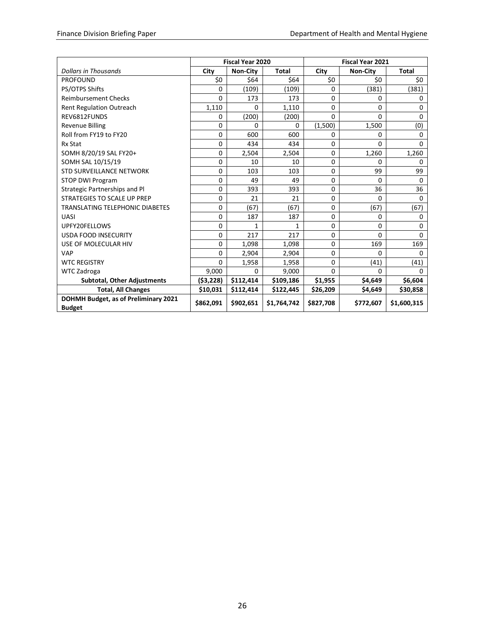|                                                       | <b>Fiscal Year 2020</b> |                 |              | <b>Fiscal Year 2021</b> |                 |              |  |
|-------------------------------------------------------|-------------------------|-----------------|--------------|-------------------------|-----------------|--------------|--|
| <b>Dollars in Thousands</b>                           | City                    | <b>Non-City</b> | <b>Total</b> | City                    | <b>Non-City</b> | <b>Total</b> |  |
| <b>PROFOUND</b>                                       | \$0                     | \$64            | \$64         | \$0                     | \$0             | \$0          |  |
| PS/OTPS Shifts                                        | 0                       | (109)           | (109)        | $\Omega$                | (381)           | (381)        |  |
| <b>Reimbursement Checks</b>                           | 0                       | 173             | 173          | 0                       | 0               | 0            |  |
| <b>Rent Regulation Outreach</b>                       | 1,110                   | 0               | 1,110        | 0                       | $\Omega$        | $\Omega$     |  |
| REV6812FUNDS                                          | 0                       | (200)           | (200)        | $\Omega$                | $\Omega$        | $\Omega$     |  |
| <b>Revenue Billing</b>                                | 0                       | 0               | 0            | (1,500)                 | 1,500           | (0)          |  |
| Roll from FY19 to FY20                                | 0                       | 600             | 600          | $\Omega$                | 0               | $\Omega$     |  |
| <b>Rx Stat</b>                                        | 0                       | 434             | 434          | $\mathbf 0$             | $\Omega$        | $\Omega$     |  |
| SOMH 8/20/19 SAL FY20+                                | 0                       | 2,504           | 2,504        | $\Omega$                | 1,260           | 1,260        |  |
| SOMH SAL 10/15/19                                     | 0                       | 10              | 10           | 0                       | 0               | $\Omega$     |  |
| <b>STD SURVEILLANCE NETWORK</b>                       | 0                       | 103             | 103          | $\mathbf 0$             | 99              | 99           |  |
| <b>STOP DWI Program</b>                               | 0                       | 49              | 49           | 0                       | 0               | 0            |  |
| Strategic Partnerships and Pl                         | 0                       | 393             | 393          | $\Omega$                | 36              | 36           |  |
| <b>STRATEGIES TO SCALE UP PREP</b>                    | 0                       | 21              | 21           | $\mathbf 0$             | $\Omega$        | $\Omega$     |  |
| <b>TRANSLATING TELEPHONIC DIABETES</b>                | 0                       | (67)            | (67)         | 0                       | (67)            | (67)         |  |
| <b>UASI</b>                                           | 0                       | 187             | 187          | $\mathbf 0$             | 0               | 0            |  |
| UPFY20FELLOWS                                         | 0                       | 1               | $\mathbf{1}$ | $\Omega$                | 0               | 0            |  |
| <b>USDA FOOD INSECURITY</b>                           | 0                       | 217             | 217          | $\Omega$                | 0               | $\Omega$     |  |
| USE OF MOLECULAR HIV                                  | 0                       | 1,098           | 1,098        | 0                       | 169             | 169          |  |
| <b>VAP</b>                                            | 0                       | 2,904           | 2,904        | $\Omega$                | $\Omega$        | $\Omega$     |  |
| <b>WTC REGISTRY</b>                                   | 0                       | 1,958           | 1,958        | $\Omega$                | (41)            | (41)         |  |
| <b>WTC Zadroga</b>                                    | 9,000                   | $\Omega$        | 9,000        | $\Omega$                | 0               | $\Omega$     |  |
| <b>Subtotal, Other Adjustments</b>                    | (53, 228)               | \$112,414       | \$109,186    | \$1,955                 | \$4,649         | \$6,604      |  |
| <b>Total, All Changes</b>                             | \$10,031                | \$112,414       | \$122,445    | \$26,209                | \$4,649         | \$30,858     |  |
| DOHMH Budget, as of Preliminary 2021<br><b>Budget</b> | \$862,091               | \$902,651       | \$1,764,742  | \$827,708               | \$772,607       | \$1,600,315  |  |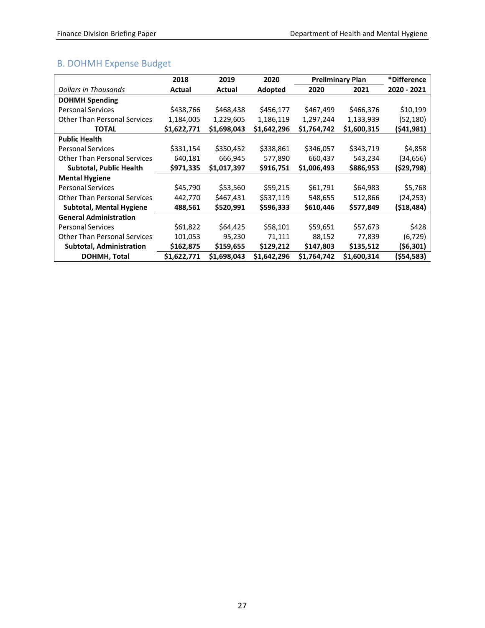# <span id="page-28-0"></span>B. DOHMH Expense Budget

|                                     | 2018        | 2019        | 2020        |             | <b>Preliminary Plan</b> | *Difference |
|-------------------------------------|-------------|-------------|-------------|-------------|-------------------------|-------------|
| Dollars in Thousands                | Actual      | Actual      | Adopted     | 2020        | 2021                    | 2020 - 2021 |
| <b>DOHMH Spending</b>               |             |             |             |             |                         |             |
| <b>Personal Services</b>            | \$438,766   | \$468,438   | \$456,177   | \$467,499   | \$466,376               | \$10,199    |
| <b>Other Than Personal Services</b> | 1,184,005   | 1,229,605   | 1,186,119   | 1,297,244   | 1,133,939               | (52,180)    |
| <b>TOTAL</b>                        | \$1,622,771 | \$1,698,043 | \$1,642,296 | \$1,764,742 | \$1,600,315             | (\$41,981)  |
| <b>Public Health</b>                |             |             |             |             |                         |             |
| <b>Personal Services</b>            | \$331,154   | \$350,452   | \$338,861   | \$346,057   | \$343,719               | \$4,858     |
| <b>Other Than Personal Services</b> | 640,181     | 666,945     | 577,890     | 660,437     | 543,234                 | (34,656)    |
| <b>Subtotal, Public Health</b>      | \$971,335   | \$1,017,397 | \$916,751   | \$1,006,493 | \$886,953               | (\$29,798)  |
| <b>Mental Hygiene</b>               |             |             |             |             |                         |             |
| <b>Personal Services</b>            | \$45,790    | \$53,560    | \$59,215    | \$61,791    | \$64,983                | \$5,768     |
| <b>Other Than Personal Services</b> | 442,770     | \$467,431   | \$537,119   | 548,655     | 512,866                 | (24,253)    |
| Subtotal, Mental Hygiene            | 488,561     | \$520,991   | \$596,333   | \$610,446   | \$577,849               | (\$18,484)  |
| <b>General Administration</b>       |             |             |             |             |                         |             |
| <b>Personal Services</b>            | \$61,822    | \$64,425    | \$58,101    | \$59,651    | \$57,673                | \$428       |
| <b>Other Than Personal Services</b> | 101,053     | 95,230      | 71,111      | 88,152      | 77,839                  | (6, 729)    |
| <b>Subtotal, Administration</b>     | \$162,875   | \$159,655   | \$129,212   | \$147,803   | \$135,512               | (\$6,301)   |
| DOHMH, Total                        | \$1,622,771 | \$1,698,043 | \$1,642,296 | \$1,764,742 | \$1,600,314             | (\$54,583)  |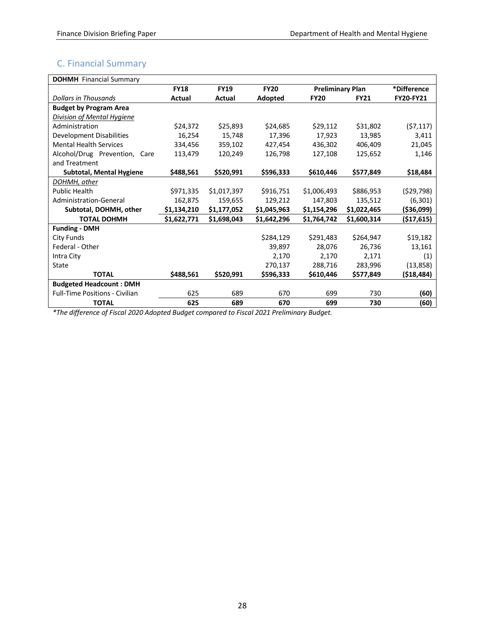# <span id="page-29-0"></span>C. Financial Summary

| <b>DOHMH</b> Financial Summary        |             |             |             |                         |             |                  |
|---------------------------------------|-------------|-------------|-------------|-------------------------|-------------|------------------|
|                                       | <b>FY18</b> | <b>FY19</b> | <b>FY20</b> | <b>Preliminary Plan</b> |             | *Difference      |
| <b>Dollars in Thousands</b>           | Actual      | Actual      | Adopted     | <b>FY20</b>             | <b>FY21</b> | <b>FY20-FY21</b> |
| <b>Budget by Program Area</b>         |             |             |             |                         |             |                  |
| Division of Mental Hygiene            |             |             |             |                         |             |                  |
| Administration                        | \$24,372    | \$25,893    | \$24,685    | \$29,112                | \$31,802    | (57, 117)        |
| Development Disabilities              | 16,254      | 15,748      | 17,396      | 17,923                  | 13,985      | 3,411            |
| <b>Mental Health Services</b>         | 334,456     | 359,102     | 427,454     | 436,302                 | 406,409     | 21,045           |
| Alcohol/Drug Prevention, Care         | 113,479     | 120,249     | 126,798     | 127,108                 | 125,652     | 1,146            |
| and Treatment                         |             |             |             |                         |             |                  |
| <b>Subtotal, Mental Hygiene</b>       | \$488,561   | \$520,991   | \$596,333   | \$610,446               | \$577,849   | \$18,484         |
| DOHMH, other                          |             |             |             |                         |             |                  |
| <b>Public Health</b>                  | \$971,335   | \$1,017,397 | \$916,751   | \$1,006,493             | \$886,953   | (529, 798)       |
| Administration-General                | 162,875     | 159,655     | 129,212     | 147,803                 | 135,512     | (6, 301)         |
| Subtotal, DOHMH, other                | \$1,134,210 | \$1,177,052 | \$1,045,963 | \$1,154,296             | \$1,022,465 | ( \$36,099)      |
| <b>TOTAL DOHMH</b>                    | \$1,622,771 | \$1,698,043 | \$1,642,296 | \$1,764,742             | \$1,600,314 | ( \$17,615)      |
| <b>Funding - DMH</b>                  |             |             |             |                         |             |                  |
| City Funds                            |             |             | \$284,129   | \$291,483               | \$264,947   | \$19,182         |
| Federal - Other                       |             |             | 39,897      | 28,076                  | 26,736      | 13,161           |
| Intra City                            |             |             | 2,170       | 2,170                   | 2,171       | (1)              |
| State                                 |             |             | 270,137     | 288,716                 | 283,996     | (13, 858)        |
| <b>TOTAL</b>                          | \$488,561   | \$520,991   | \$596,333   | \$610,446               | \$577,849   | (518, 484)       |
| <b>Budgeted Headcount: DMH</b>        |             |             |             |                         |             |                  |
| <b>Full-Time Positions - Civilian</b> | 625         | 689         | 670         | 699                     | 730         | (60)             |
| <b>TOTAL</b>                          | 625         | 689         | 670         | 699                     | 730         | (60)             |

*\*The difference of Fiscal 2020 Adopted Budget compared to Fiscal 2021 Preliminary Budget.*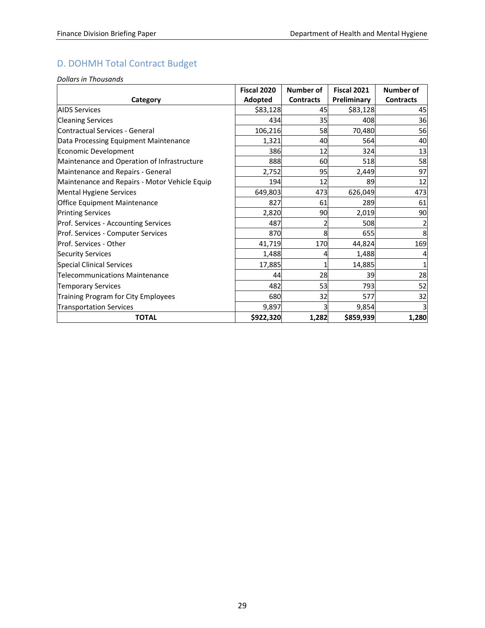# <span id="page-30-0"></span>D. DOHMH Total Contract Budget

*Dollars in Thousands*

|                                               | Fiscal 2020 | Number of        | <b>Fiscal 2021</b> | Number of        |
|-----------------------------------------------|-------------|------------------|--------------------|------------------|
| Category                                      | Adopted     | <b>Contracts</b> | Preliminary        | <b>Contracts</b> |
| <b>AIDS Services</b>                          | \$83,128    | 45               | \$83,128           | 45               |
| <b>Cleaning Services</b>                      | 434         | 35               | 408                | 36               |
| Contractual Services - General                | 106,216     | 58               | 70,480             | 56               |
| Data Processing Equipment Maintenance         | 1,321       | 40               | 564                | 40               |
| Economic Development                          | 386         | 12               | 324                | 13               |
| Maintenance and Operation of Infrastructure   | 888         | 60               | 518                | 58               |
| Maintenance and Repairs - General             | 2,752       | 95               | 2,449              | 97               |
| Maintenance and Repairs - Motor Vehicle Equip | 194         | 12               | 89                 | 12               |
| Mental Hygiene Services                       | 649,803     | 473              | 626,049            | 473              |
| <b>Office Equipment Maintenance</b>           | 827         | 61               | 289                | 61               |
| <b>Printing Services</b>                      | 2,820       | 90               | 2,019              | 90               |
| Prof. Services - Accounting Services          | 487         |                  | 508                |                  |
| Prof. Services - Computer Services            | 870         | 8                | 655                | 8                |
| <b>Prof. Services - Other</b>                 | 41,719      | 170              | 44,824             | 169              |
| <b>Security Services</b>                      | 1,488       |                  | 1,488              |                  |
| Special Clinical Services                     | 17,885      |                  | 14,885             |                  |
| Telecommunications Maintenance                | 44          | 28               | 39                 | 28               |
| <b>Temporary Services</b>                     | 482         | 53               | 793                | 52               |
| Training Program for City Employees           | 680         | 32               | 577                | 32               |
| <b>Transportation Services</b>                | 9,897       |                  | 9,854              | 3                |
| <b>TOTAL</b>                                  | \$922,320   | 1,282            | \$859,939          | 1,280            |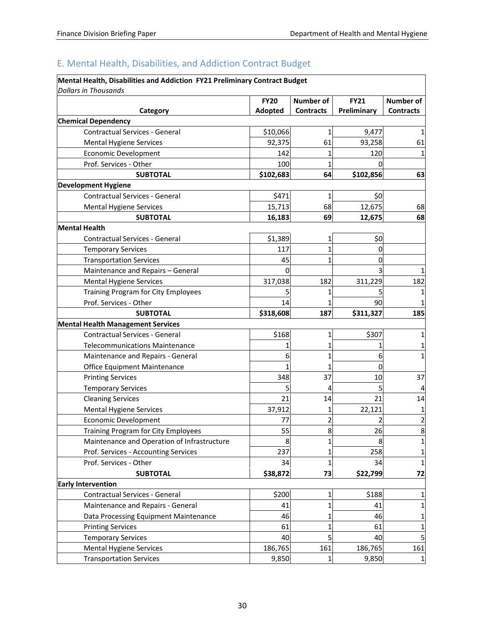# <span id="page-31-0"></span>E. Mental Health, Disabilities, and Addiction Contract Budget

| Mental Health, Disabilities and Addiction FY21 Preliminary Contract Budget        |                        |                  |                            |                                      |
|-----------------------------------------------------------------------------------|------------------------|------------------|----------------------------|--------------------------------------|
| <b>Dollars in Thousands</b>                                                       |                        | Number of        |                            |                                      |
| Category                                                                          | <b>FY20</b><br>Adopted | <b>Contracts</b> | <b>FY21</b><br>Preliminary | <b>Number of</b><br><b>Contracts</b> |
| <b>Chemical Dependency</b>                                                        |                        |                  |                            |                                      |
| <b>Contractual Services - General</b>                                             | \$10,066               | 1                | 9,477                      | 1                                    |
| <b>Mental Hygiene Services</b>                                                    | 92,375                 | 61               | 93,258                     | 61                                   |
| <b>Economic Development</b>                                                       | 142                    |                  | 120                        |                                      |
| Prof. Services - Other                                                            | 100                    |                  |                            |                                      |
| <b>SUBTOTAL</b>                                                                   | \$102,683              | 64               | \$102,856                  | 63                                   |
| <b>Development Hygiene</b>                                                        |                        |                  |                            |                                      |
| <b>Contractual Services - General</b>                                             | \$471                  |                  | \$0                        |                                      |
| <b>Mental Hygiene Services</b>                                                    | 15,713                 | 68               | 12,675                     | 68                                   |
| <b>SUBTOTAL</b>                                                                   | 16,183                 | 69               | 12,675                     | 68                                   |
| <b>Mental Health</b>                                                              |                        |                  |                            |                                      |
| Contractual Services - General                                                    | \$1,389                | 1                | \$0                        |                                      |
| <b>Temporary Services</b>                                                         | 117                    |                  | 0                          |                                      |
| <b>Transportation Services</b>                                                    |                        |                  |                            |                                      |
|                                                                                   | 45<br>$\Omega$         |                  |                            |                                      |
| Maintenance and Repairs - General<br><b>Mental Hygiene Services</b>               | 317,038                | 182              | 311,229                    | 182                                  |
|                                                                                   |                        |                  |                            |                                      |
| Training Program for City Employees<br>Prof. Services - Other                     |                        |                  |                            |                                      |
|                                                                                   | 14                     |                  | 90                         |                                      |
| <b>SUBTOTAL</b>                                                                   | \$318,608              | 187              | \$311,327                  | 185                                  |
| <b>Mental Health Management Services</b><br><b>Contractual Services - General</b> | \$168                  |                  | \$307                      |                                      |
|                                                                                   |                        |                  |                            |                                      |
| <b>Telecommunications Maintenance</b>                                             |                        |                  |                            |                                      |
| Maintenance and Repairs - General                                                 | 6                      |                  | 6                          | 1                                    |
| Office Equipment Maintenance                                                      |                        |                  | $\Omega$                   |                                      |
| <b>Printing Services</b>                                                          | 348                    | 37               | 10                         | 37                                   |
| <b>Temporary Services</b>                                                         |                        | 4                |                            |                                      |
| <b>Cleaning Services</b>                                                          | 21                     | 14               | 21                         | 14                                   |
| <b>Mental Hygiene Services</b>                                                    | 37,912                 |                  | 22,121                     | 1                                    |
| Economic Development                                                              | 77                     | 2                |                            | 2                                    |
| Training Program for City Employees                                               | 55                     | 8                | 26                         | 8                                    |
| Maintenance and Operation of Infrastructure                                       | 8                      | $\mathbf{1}$     | 8                          | 1                                    |
| Prof. Services - Accounting Services                                              | 237                    | 1                | 258                        | 1                                    |
| Prof. Services - Other                                                            | 34                     | 1                | 34                         | 1                                    |
| <b>SUBTOTAL</b>                                                                   | \$38,872               | 73               | \$22,799                   | 72                                   |
| <b>Early Intervention</b>                                                         |                        |                  |                            |                                      |
| <b>Contractual Services - General</b>                                             | \$200                  |                  | \$188                      | 1                                    |
| Maintenance and Repairs - General                                                 | 41                     | $\mathbf{1}$     | 41                         | 1                                    |
| Data Processing Equipment Maintenance                                             | 46                     |                  | 46                         | 1                                    |
| <b>Printing Services</b>                                                          | 61                     |                  | 61                         | 1                                    |
| <b>Temporary Services</b>                                                         | 40                     | 5                | 40                         | 5                                    |
| Mental Hygiene Services                                                           | 186,765                | 161              | 186,765                    | 161                                  |
| <b>Transportation Services</b>                                                    | 9,850                  | 1                | 9,850                      | $\mathbf{1}$                         |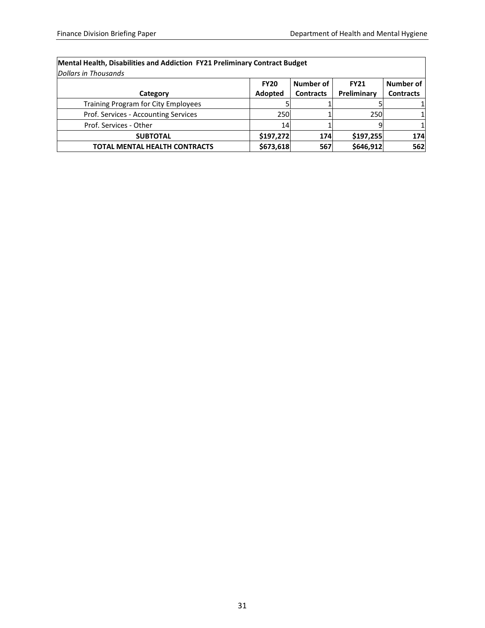| Mental Health, Disabilities and Addiction FY21 Preliminary Contract Budget |             |                  |             |                  |  |  |  |  |
|----------------------------------------------------------------------------|-------------|------------------|-------------|------------------|--|--|--|--|
| Dollars in Thousands                                                       |             |                  |             |                  |  |  |  |  |
|                                                                            | <b>FY20</b> | Number of        | <b>FY21</b> | Number of        |  |  |  |  |
| Category                                                                   | Adopted     | <b>Contracts</b> | Preliminary | <b>Contracts</b> |  |  |  |  |
| <b>Training Program for City Employees</b>                                 |             |                  |             |                  |  |  |  |  |
| Prof. Services - Accounting Services                                       | 250         |                  | 250         |                  |  |  |  |  |
| Prof. Services - Other                                                     | 14          |                  |             |                  |  |  |  |  |
| <b>SUBTOTAL</b>                                                            | \$197,272   | 174              | \$197,255   | 174              |  |  |  |  |
| <b>TOTAL MENTAL HEALTH CONTRACTS</b>                                       | \$673,618   | 567              | \$646,912   | 562              |  |  |  |  |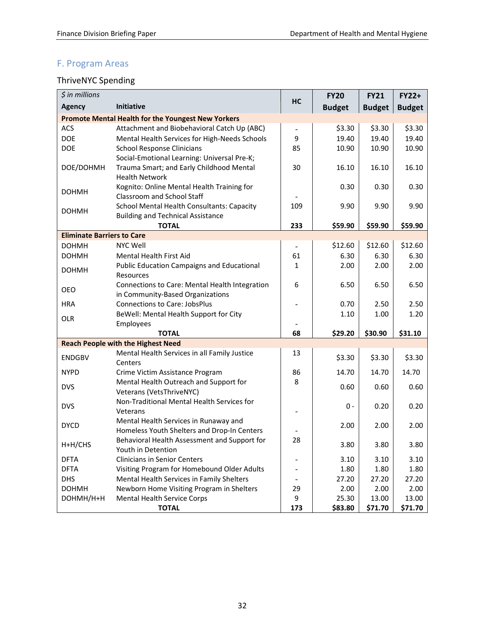# <span id="page-33-0"></span>F. Program Areas

# <span id="page-33-1"></span>ThriveNYC Spending

| $$$ in millions                   |                                                                                                                  |          | <b>FY20</b>      | <b>FY21</b>      | <b>FY22+</b>     |
|-----------------------------------|------------------------------------------------------------------------------------------------------------------|----------|------------------|------------------|------------------|
| <b>Agency</b>                     | Initiative                                                                                                       | HC       | <b>Budget</b>    | <b>Budget</b>    | <b>Budget</b>    |
|                                   | <b>Promote Mental Health for the Youngest New Yorkers</b>                                                        |          |                  |                  |                  |
| ACS                               | Attachment and Biobehavioral Catch Up (ABC)                                                                      |          | \$3.30           | \$3.30           | \$3.30           |
| <b>DOE</b>                        | Mental Health Services for High-Needs Schools                                                                    | 9        | 19.40            | 19.40            | 19.40            |
| <b>DOE</b>                        | <b>School Response Clinicians</b>                                                                                | 85       | 10.90            | 10.90            | 10.90            |
| DOE/DOHMH                         | Social-Emotional Learning: Universal Pre-K;<br>Trauma Smart; and Early Childhood Mental<br><b>Health Network</b> | 30       | 16.10            | 16.10            | 16.10            |
| <b>DOHMH</b>                      | Kognito: Online Mental Health Training for<br>Classroom and School Staff                                         |          | 0.30             | 0.30             | 0.30             |
| <b>DOHMH</b>                      | <b>School Mental Health Consultants: Capacity</b><br><b>Building and Technical Assistance</b>                    | 109      | 9.90             | 9.90             | 9.90             |
|                                   | <b>TOTAL</b>                                                                                                     | 233      | \$59.90          | \$59.90          | \$59.90          |
| <b>Eliminate Barriers to Care</b> |                                                                                                                  |          |                  |                  |                  |
| <b>DOHMH</b>                      | <b>NYC Well</b>                                                                                                  |          | \$12.60          | \$12.60          | \$12.60          |
| <b>DOHMH</b>                      | Mental Health First Aid                                                                                          | 61       | 6.30             | 6.30             | 6.30             |
| <b>DOHMH</b>                      | <b>Public Education Campaigns and Educational</b><br>Resources                                                   | 1        | 2.00             | 2.00             | 2.00             |
| OEO                               | Connections to Care: Mental Health Integration<br>in Community-Based Organizations                               | 6        | 6.50             | 6.50             | 6.50             |
| <b>HRA</b>                        | <b>Connections to Care: JobsPlus</b>                                                                             |          | 0.70             | 2.50             | 2.50             |
| OLR                               | BeWell: Mental Health Support for City                                                                           |          | 1.10             | 1.00             | 1.20             |
|                                   | Employees<br><b>TOTAL</b>                                                                                        | 68       | \$29.20          | \$30.90          | \$31.10          |
|                                   | <b>Reach People with the Highest Need</b>                                                                        |          |                  |                  |                  |
| <b>ENDGBV</b>                     | Mental Health Services in all Family Justice<br>Centers                                                          | 13       | \$3.30           | \$3.30           | \$3.30           |
| <b>NYPD</b>                       | Crime Victim Assistance Program                                                                                  | 86       | 14.70            | 14.70            | 14.70            |
| <b>DVS</b>                        | Mental Health Outreach and Support for<br>Veterans (VetsThriveNYC)                                               | 8        | 0.60             | 0.60             | 0.60             |
| <b>DVS</b>                        | Non-Traditional Mental Health Services for<br>Veterans                                                           |          | $0 -$            | 0.20             | 0.20             |
| <b>DYCD</b>                       | Mental Health Services in Runaway and<br>Homeless Youth Shelters and Drop-In Centers                             |          | 2.00             | 2.00             | 2.00             |
| H+H/CHS                           | Behavioral Health Assessment and Support for<br>Youth in Detention                                               | 28       | 3.80             | 3.80             | 3.80             |
| <b>DFTA</b>                       | <b>Clinicians in Senior Centers</b>                                                                              |          | 3.10             | 3.10             | 3.10             |
| <b>DFTA</b>                       | Visiting Program for Homebound Older Adults                                                                      |          | 1.80             | 1.80             | 1.80             |
| <b>DHS</b>                        | Mental Health Services in Family Shelters                                                                        |          | 27.20            | 27.20            | 27.20            |
| <b>DOHMH</b>                      | Newborn Home Visiting Program in Shelters                                                                        | 29       | 2.00             | 2.00             | 2.00             |
| DOHMH/H+H                         | Mental Health Service Corps<br><b>TOTAL</b>                                                                      | 9<br>173 | 25.30<br>\$83.80 | 13.00<br>\$71.70 | 13.00<br>\$71.70 |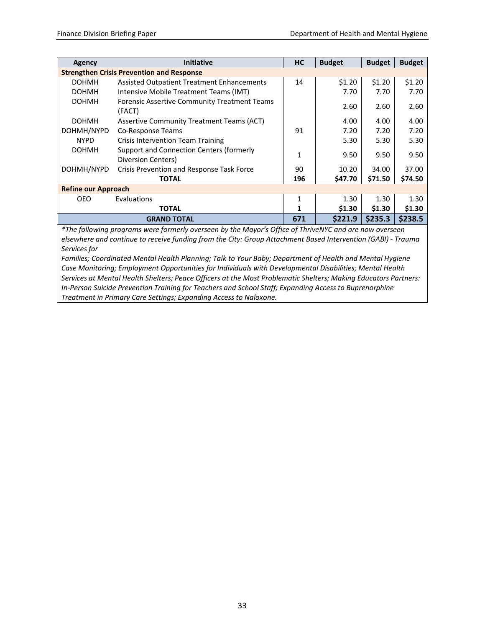| Agency                     | <b>Initiative</b>                                              | <b>HC</b>    | <b>Budget</b> | <b>Budget</b> | <b>Budget</b> |
|----------------------------|----------------------------------------------------------------|--------------|---------------|---------------|---------------|
|                            | <b>Strengthen Crisis Prevention and Response</b>               |              |               |               |               |
| <b>DOHMH</b>               | <b>Assisted Outpatient Treatment Enhancements</b>              | 14           | \$1.20        | \$1.20        | \$1.20        |
| <b>DOHMH</b>               | Intensive Mobile Treatment Teams (IMT)                         |              | 7.70          | 7.70          | 7.70          |
| <b>DOHMH</b>               | <b>Forensic Assertive Community Treatment Teams</b><br>(FACT)  |              | 2.60          | 2.60          | 2.60          |
| <b>DOHMH</b>               | Assertive Community Treatment Teams (ACT)                      |              | 4.00          | 4.00          | 4.00          |
| DOHMH/NYPD                 | Co-Response Teams                                              | 91           | 7.20          | 7.20          | 7.20          |
| <b>NYPD</b>                | <b>Crisis Intervention Team Training</b>                       |              | 5.30          | 5.30          | 5.30          |
| <b>DOHMH</b>               | Support and Connection Centers (formerly<br>Diversion Centers) | $\mathbf{1}$ | 9.50          | 9.50          | 9.50          |
| DOHMH/NYPD                 | Crisis Prevention and Response Task Force                      | 90           | 10.20         | 34.00         | 37.00         |
|                            | <b>TOTAL</b>                                                   | 196          | \$47.70       | \$71.50       | \$74.50       |
| <b>Refine our Approach</b> |                                                                |              |               |               |               |
| OEO.                       | Evaluations                                                    | $\mathbf{1}$ | 1.30          | 1.30          | 1.30          |
|                            | <b>TOTAL</b>                                                   | 1            | \$1.30        | \$1.30        | \$1.30        |
|                            | <b>GRAND TOTAL</b>                                             | 671          | \$221.9       | \$235.3       | \$238.5       |

*\*The following programs were formerly overseen by the Mayor's Office of ThriveNYC and are now overseen elsewhere and continue to receive funding from the City: Group Attachment Based Intervention (GABI) - Trauma Services for*

*Families; Coordinated Mental Health Planning; Talk to Your Baby; Department of Health and Mental Hygiene Case Monitoring; Employment Opportunities for Individuals with Developmental Disabilities; Mental Health Services at Mental Health Shelters; Peace Officers at the Most Problematic Shelters; Making Educators Partners: In-Person Suicide Prevention Training for Teachers and School Staff; Expanding Access to Buprenorphine Treatment in Primary Care Settings; Expanding Access to Naloxone.*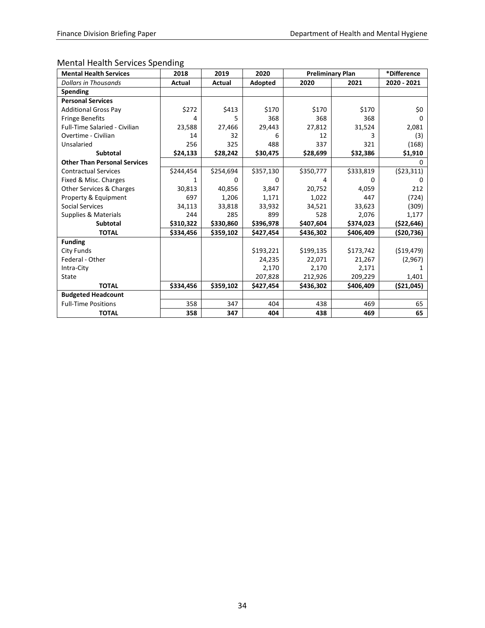# <span id="page-35-0"></span>Mental Health Services Spending

| <b>Mental Health Services</b>        | 2018          | 2019          | 2020      | <b>Preliminary Plan</b> |           | *Difference  |
|--------------------------------------|---------------|---------------|-----------|-------------------------|-----------|--------------|
| Dollars in Thousands                 | <b>Actual</b> | <b>Actual</b> | Adopted   | 2020                    | 2021      | 2020 - 2021  |
| <b>Spending</b>                      |               |               |           |                         |           |              |
| <b>Personal Services</b>             |               |               |           |                         |           |              |
| <b>Additional Gross Pay</b>          | \$272         | \$413         | \$170     | \$170                   | \$170     | \$0          |
| <b>Fringe Benefits</b>               | 4             | 5             | 368       | 368                     | 368       | <sup>0</sup> |
| <b>Full-Time Salaried - Civilian</b> | 23,588        | 27,466        | 29,443    | 27,812                  | 31,524    | 2,081        |
| Overtime - Civilian                  | 14            | 32            | 6         | 12                      | 3         | (3)          |
| Unsalaried                           | 256           | 325           | 488       | 337                     | 321       | (168)        |
| <b>Subtotal</b>                      | \$24,133      | \$28,242      | \$30,475  | \$28,699                | \$32,386  | \$1,910      |
| <b>Other Than Personal Services</b>  |               |               |           |                         |           | 0            |
| <b>Contractual Services</b>          | \$244,454     | \$254,694     | \$357,130 | \$350,777               | \$333,819 | ( \$23, 311) |
| Fixed & Misc. Charges                |               | n             | O         |                         | n         |              |
| Other Services & Charges             | 30,813        | 40,856        | 3,847     | 20,752                  | 4,059     | 212          |
| Property & Equipment                 | 697           | 1,206         | 1,171     | 1,022                   | 447       | (724)        |
| <b>Social Services</b>               | 34,113        | 33,818        | 33,932    | 34,521                  | 33,623    | (309)        |
| Supplies & Materials                 | 244           | 285           | 899       | 528                     | 2,076     | 1,177        |
| <b>Subtotal</b>                      | \$310,322     | \$330,860     | \$396,978 | \$407,604               | \$374,023 | ( \$22,646)  |
| <b>TOTAL</b>                         | \$334,456     | \$359,102     | \$427,454 | \$436,302               | \$406,409 | ( \$20, 736) |
| <b>Funding</b>                       |               |               |           |                         |           |              |
| City Funds                           |               |               | \$193,221 | \$199,135               | \$173,742 | ( \$19,479)  |
| Federal - Other                      |               |               | 24,235    | 22,071                  | 21,267    | (2,967)      |
| Intra-City                           |               |               | 2,170     | 2,170                   | 2,171     |              |
| State                                |               |               | 207,828   | 212,926                 | 209,229   | 1,401        |
| <b>TOTAL</b>                         | \$334,456     | \$359,102     | \$427,454 | \$436,302               | \$406,409 | ( \$21,045)  |
| <b>Budgeted Headcount</b>            |               |               |           |                         |           |              |
| <b>Full-Time Positions</b>           | 358           | 347           | 404       | 438                     | 469       | 65           |
| <b>TOTAL</b>                         | 358           | 347           | 404       | 438                     | 469       | 65           |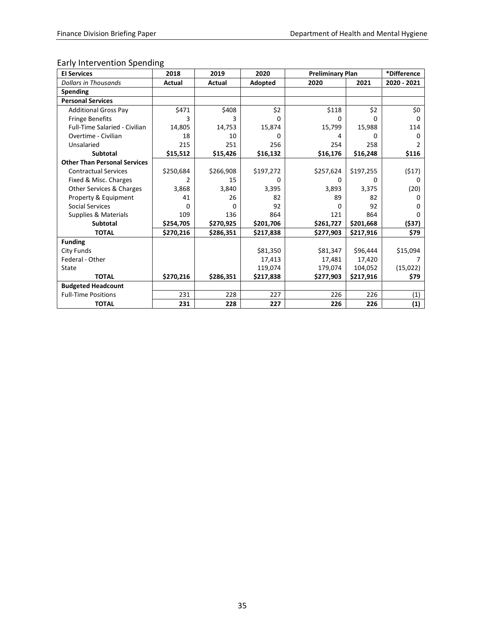# <span id="page-36-0"></span>Early Intervention Spending

| <b>El Services</b>                  | 2018      | 2019      | 2020      | <b>Preliminary Plan</b> |           | *Difference |
|-------------------------------------|-----------|-----------|-----------|-------------------------|-----------|-------------|
| <b>Dollars in Thousands</b>         | Actual    | Actual    | Adopted   | 2020                    | 2021      | 2020 - 2021 |
| Spending                            |           |           |           |                         |           |             |
| <b>Personal Services</b>            |           |           |           |                         |           |             |
| <b>Additional Gross Pay</b>         | \$471     | \$408     | \$2       | \$118                   | \$2       | \$0         |
| <b>Fringe Benefits</b>              | 3         | 3         | 0         | <sup>0</sup>            | 0         | 0           |
| Full-Time Salaried - Civilian       | 14,805    | 14,753    | 15,874    | 15,799                  | 15,988    | 114         |
| Overtime - Civilian                 | 18        | 10        | n         | 4                       | n         | 0           |
| Unsalaried                          | 215       | 251       | 256       | 254                     | 258       | 2           |
| <b>Subtotal</b>                     | \$15,512  | \$15,426  | \$16,132  | \$16,176                | \$16,248  | \$116       |
| <b>Other Than Personal Services</b> |           |           |           |                         |           |             |
| <b>Contractual Services</b>         | \$250,684 | \$266,908 | \$197,272 | \$257,624               | \$197,255 | (517)       |
| Fixed & Misc. Charges               | 2         | 15        | o         | 0                       | O         | 0           |
| Other Services & Charges            | 3,868     | 3,840     | 3,395     | 3,893                   | 3,375     | (20)        |
| Property & Equipment                | 41        | 26        | 82        | 89                      | 82        | 0           |
| <b>Social Services</b>              | 0         | 0         | 92        | 0                       | 92        | 0           |
| Supplies & Materials                | 109       | 136       | 864       | 121                     | 864       | 0           |
| <b>Subtotal</b>                     | \$254,705 | \$270,925 | \$201,706 | \$261,727               | \$201,668 | (537)       |
| <b>TOTAL</b>                        | \$270,216 | \$286,351 | \$217,838 | \$277,903               | \$217,916 | \$79        |
| <b>Funding</b>                      |           |           |           |                         |           |             |
| City Funds                          |           |           | \$81,350  | \$81,347                | \$96,444  | \$15,094    |
| Federal - Other                     |           |           | 17,413    | 17,481                  | 17,420    |             |
| State                               |           |           | 119,074   | 179,074                 | 104,052   | (15,022)    |
| <b>TOTAL</b>                        | \$270,216 | \$286,351 | \$217,838 | \$277,903               | \$217,916 | \$79        |
| <b>Budgeted Headcount</b>           |           |           |           |                         |           |             |
| <b>Full-Time Positions</b>          | 231       | 228       | 227       | 226                     | 226       | (1)         |
| <b>TOTAL</b>                        | 231       | 228       | 227       | 226                     | 226       | (1)         |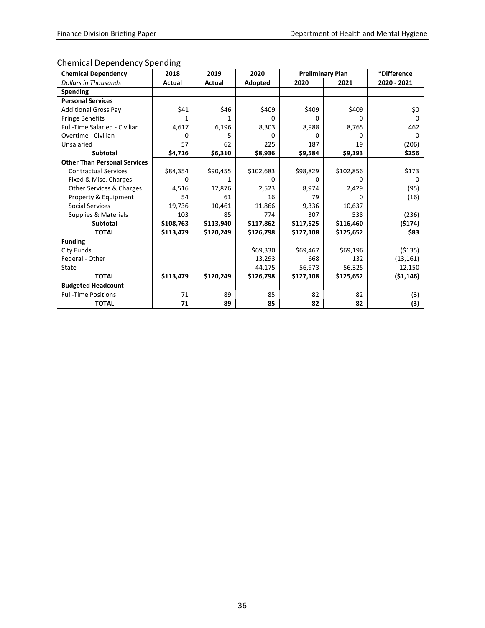# <span id="page-37-0"></span>Chemical Dependency Spending

| <b>Chemical Dependency</b>          | 2018      | 2019          | 2020      | <b>Preliminary Plan</b> |           | *Difference  |
|-------------------------------------|-----------|---------------|-----------|-------------------------|-----------|--------------|
| <b>Dollars in Thousands</b>         | Actual    | <b>Actual</b> | Adopted   | 2020                    | 2021      | 2020 - 2021  |
| Spending                            |           |               |           |                         |           |              |
| <b>Personal Services</b>            |           |               |           |                         |           |              |
| <b>Additional Gross Pay</b>         | \$41      | \$46          | \$409     | \$409                   | \$409     | \$0          |
| <b>Fringe Benefits</b>              | 1         | 1             | U         | U                       | U         | <sup>0</sup> |
| Full-Time Salaried - Civilian       | 4,617     | 6,196         | 8,303     | 8,988                   | 8,765     | 462          |
| Overtime - Civilian                 | 0         | 5             | $\Omega$  | 0                       | 0         | 0            |
| Unsalaried                          | 57        | 62            | 225       | 187                     | 19        | (206)        |
| <b>Subtotal</b>                     | \$4,716   | \$6,310       | \$8,936   | \$9,584                 | \$9,193   | \$256        |
| <b>Other Than Personal Services</b> |           |               |           |                         |           |              |
| <b>Contractual Services</b>         | \$84,354  | \$90,455      | \$102,683 | \$98,829                | \$102,856 | \$173        |
| Fixed & Misc. Charges               | 0         | 1             | 0         | 0                       | O         | 0            |
| Other Services & Charges            | 4,516     | 12,876        | 2,523     | 8,974                   | 2,429     | (95)         |
| Property & Equipment                | 54        | 61            | 16        | 79                      | 0         | (16)         |
| <b>Social Services</b>              | 19,736    | 10,461        | 11,866    | 9,336                   | 10,637    |              |
| Supplies & Materials                | 103       | 85            | 774       | 307                     | 538       | (236)        |
| <b>Subtotal</b>                     | \$108,763 | \$113,940     | \$117,862 | \$117,525               | \$116,460 | (\$174)      |
| <b>TOTAL</b>                        | \$113,479 | \$120,249     | \$126,798 | \$127,108               | \$125,652 | \$83         |
| <b>Funding</b>                      |           |               |           |                         |           |              |
| City Funds                          |           |               | \$69,330  | \$69,467                | \$69,196  | ( \$135)     |
| Federal - Other                     |           |               | 13,293    | 668                     | 132       | (13, 161)    |
| State                               |           |               | 44,175    | 56,973                  | 56,325    | 12,150       |
| <b>TOTAL</b>                        | \$113,479 | \$120,249     | \$126,798 | \$127,108               | \$125,652 | (51, 146)    |
| <b>Budgeted Headcount</b>           |           |               |           |                         |           |              |
| <b>Full-Time Positions</b>          | 71        | 89            | 85        | 82                      | 82        | (3)          |
| <b>TOTAL</b>                        | 71        | 89            | 85        | 82                      | 82        | (3)          |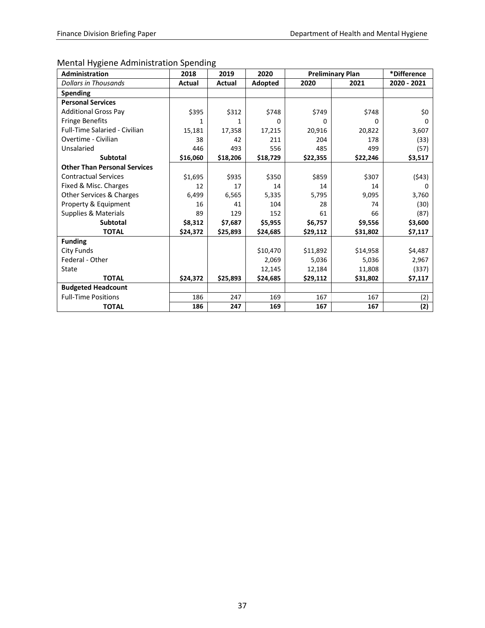# <span id="page-38-0"></span>Mental Hygiene Administration Spending

| <b>Administration</b>                | 2018          | 2019          | 2020     | <b>Preliminary Plan</b> |          | *Difference |
|--------------------------------------|---------------|---------------|----------|-------------------------|----------|-------------|
| <b>Dollars in Thousands</b>          | <b>Actual</b> | <b>Actual</b> | Adopted  | 2020                    | 2021     | 2020 - 2021 |
| Spending                             |               |               |          |                         |          |             |
| <b>Personal Services</b>             |               |               |          |                         |          |             |
| <b>Additional Gross Pav</b>          | \$395         | \$312         | \$748    | \$749                   | \$748    | \$0         |
| <b>Fringe Benefits</b>               | 1             | 1             | 0        | 0                       | 0        | 0           |
| <b>Full-Time Salaried - Civilian</b> | 15,181        | 17,358        | 17,215   | 20,916                  | 20,822   | 3,607       |
| Overtime - Civilian                  | 38            | 42            | 211      | 204                     | 178      | (33)        |
| Unsalaried                           | 446           | 493           | 556      | 485                     | 499      | (57)        |
| <b>Subtotal</b>                      | \$16,060      | \$18,206      | \$18,729 | \$22,355                | \$22,246 | \$3,517     |
| <b>Other Than Personal Services</b>  |               |               |          |                         |          |             |
| <b>Contractual Services</b>          | \$1,695       | \$935         | \$350    | \$859                   | \$307    | (543)       |
| Fixed & Misc. Charges                | 12            | 17            | 14       | 14                      | 14       | 0           |
| Other Services & Charges             | 6,499         | 6,565         | 5,335    | 5,795                   | 9,095    | 3,760       |
| Property & Equipment                 | 16            | 41            | 104      | 28                      | 74       | (30)        |
| Supplies & Materials                 | 89            | 129           | 152      | 61                      | 66       | (87)        |
| <b>Subtotal</b>                      | \$8,312       | \$7,687       | \$5,955  | \$6,757                 | \$9,556  | \$3,600     |
| <b>TOTAL</b>                         | \$24,372      | \$25,893      | \$24,685 | \$29,112                | \$31,802 | \$7,117     |
| <b>Funding</b>                       |               |               |          |                         |          |             |
| City Funds                           |               |               | \$10,470 | \$11,892                | \$14,958 | \$4,487     |
| Federal - Other                      |               |               | 2,069    | 5,036                   | 5,036    | 2,967       |
| State                                |               |               | 12,145   | 12,184                  | 11,808   | (337)       |
| <b>TOTAL</b>                         | \$24,372      | \$25,893      | \$24,685 | \$29,112                | \$31,802 | \$7,117     |
| <b>Budgeted Headcount</b>            |               |               |          |                         |          |             |
| <b>Full-Time Positions</b>           | 186           | 247           | 169      | 167                     | 167      | (2)         |
| <b>TOTAL</b>                         | 186           | 247           | 169      | 167                     | 167      | (2)         |